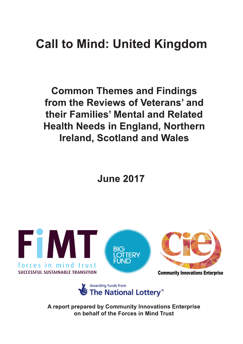# **Call to Mind: United Kingdom**

**Common Themes and Findings** from the Reviews of Veterans' and their Families' Mental and Related **Health Needs in England, Northern Ireland, Scotland and Wales** 

**June 2017** 





A report prepared by Community Innovations Enterprise on behalf of the Forces in Mind Trust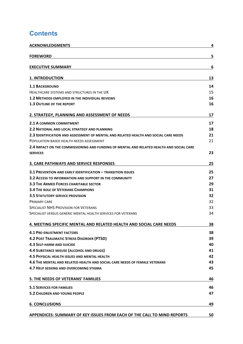# **Contents**

| <b>ACKNOWLEDGMENTS</b>                                                                   | 4  |
|------------------------------------------------------------------------------------------|----|
| <b>FOREWORD</b>                                                                          | 5  |
| <b>EXECUTIVE SUMMARY</b>                                                                 | 6  |
| <b>1. INTRODUCTION</b>                                                                   | 13 |
| <b>1.1 BACKGROUND</b>                                                                    | 14 |
| HEALTHCARE SYSTEMS AND STRUCTURES IN THE UK                                              | 15 |
| <b>1.2 METHODS EMPLOYED IN THE INDIVIDUAL REVIEWS</b>                                    | 16 |
| <b>1.3 OUTLINE OF THE REPORT</b>                                                         | 16 |
| 2. STRATEGY, PLANNING AND ASSESSMENT OF NEEDS                                            | 17 |
| 2.1 A COMMON COMMITMENT                                                                  | 17 |
| <b>2.2 NATIONAL AND LOCAL STRATEGY AND PLANNING</b>                                      | 18 |
| 2.3 IDENTIFICATION AND ASSESSMENT OF MENTAL AND RELATED HEALTH AND SOCIAL CARE NEEDS     | 21 |
| POPULATION BASED HEALTH NEEDS ASSESSMENT                                                 | 21 |
| 2.4 IMPACT ON THE COMMISSIONING AND FUNDING OF MENTAL AND RELATED HEALTH AND SOCIAL CARE |    |
| <b>SERVICES</b>                                                                          | 23 |
| <b>3. CARE PATHWAYS AND SERVICE RESPONSES</b>                                            | 25 |
| <b>3.1 PREVENTION AND EARLY IDENTIFICATION - TRANSITION ISSUES</b>                       | 25 |
| <b>3.2 ACCESS TO INFORMATION AND SUPPORT IN THE COMMUNITY</b>                            | 27 |
| <b>3.3 THE ARMED FORCES CHARITABLE SECTOR</b>                                            | 29 |
| <b>3.4 THE ROLE OF VETERANS CHAMPIONS</b>                                                | 31 |
| <b>3.5 STATUTORY SERVICE PROVISION</b>                                                   | 32 |
| <b>PRIMARY CARE</b>                                                                      | 32 |
| <b>SPECIALIST NHS PROVISION FOR VETERANS</b>                                             | 33 |
| SPECIALIST VERSUS GENERIC MENTAL HEALTH SERVICES FOR VETERANS                            | 34 |
| 4. MEETING SPECIFIC MENTAL AND RELATED HEALTH AND SOCIAL CARE NEEDS                      | 38 |
| <b>4.1 PRE-ENLISTMENT FACTORS</b>                                                        | 38 |
| <b>4.2 POST TRAUMATIC STRESS DISORDER (PTSD)</b>                                         | 39 |
| <b>4.3 SELF-HARM AND SUICIDE</b>                                                         | 40 |
| <b>4.4 SUBSTANCE MISUSE (ALCOHOL AND DRUGS)</b>                                          | 41 |
| <b>4.5 PHYSICAL HEALTH ISSUES AND MENTAL HEALTH</b>                                      | 42 |
| 4.6 THE MENTAL AND RELATED HEALTH AND SOCIAL CARE NEEDS OF FEMALE VETERANS               | 43 |
| 4.7 HELP SEEKING AND OVERCOMING STIGMA                                                   | 45 |
| 5. THE NEEDS OF VETERANS' FAMILIES                                                       | 46 |
| <b>5.1 SERVICES FOR FAMILIES</b>                                                         | 46 |
| <b>5.2 CHILDREN AND YOUNG PEOPLE</b>                                                     | 47 |
| <b>6. CONCLUSIONS</b>                                                                    | 49 |
| APPENDICES: SUMMARY OF KEY ISSUES FROM EACH OF THE CALL TO MIND REPORTS                  | 50 |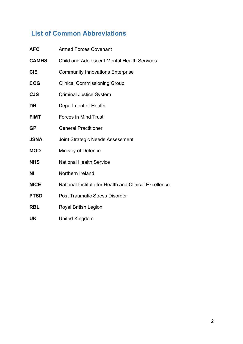# **List of Common Abbreviations**

| <b>AFC</b>   | <b>Armed Forces Covenant</b>                          |
|--------------|-------------------------------------------------------|
| <b>CAMHS</b> | <b>Child and Adolescent Mental Health Services</b>    |
| <b>CIE</b>   | <b>Community Innovations Enterprise</b>               |
| <b>CCG</b>   | <b>Clinical Commissioning Group</b>                   |
| <b>CJS</b>   | <b>Criminal Justice System</b>                        |
| <b>DH</b>    | Department of Health                                  |
| <b>FIMT</b>  | <b>Forces in Mind Trust</b>                           |
| <b>GP</b>    | <b>General Practitioner</b>                           |
| <b>JSNA</b>  | Joint Strategic Needs Assessment                      |
| <b>MOD</b>   | Ministry of Defence                                   |
| <b>NHS</b>   | <b>National Health Service</b>                        |
| ΝI           | Northern Ireland                                      |
| <b>NICE</b>  | National Institute for Health and Clinical Excellence |
| <b>PTSD</b>  | <b>Post Traumatic Stress Disorder</b>                 |
| <b>RBL</b>   | Royal British Legion                                  |
| UK           | <b>United Kingdom</b>                                 |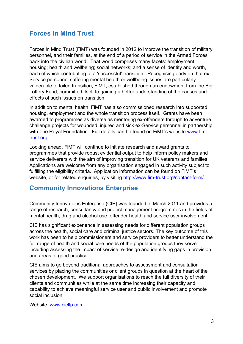# **Forces in Mind Trust**

Forces in Mind Trust (FiMT) was founded in 2012 to improve the transition of military personnel, and their families, at the end of a period of service in the Armed Forces back into the civilian world. That world comprises many facets: employment; housing; health and wellbeing; social networks; and a sense of identity and worth, each of which contributing to a 'successful' transition. Recognising early on that ex-Service personnel suffering mental health or wellbeing issues are particularly vulnerable to failed transition, FiMT, established through an endowment from the Big Lottery Fund, committed itself to gaining a better understanding of the causes and effects of such issues on transition.

In addition to mental health, FiMT has also commissioned research into supported housing, employment and the whole transition process itself. Grants have been awarded to programmes as diverse as mentoring ex-offenders through to adventure challenge projects for wounded, injured and sick ex-Service personnel in partnership with The Royal Foundation. Full details can be found on FiMT's website www.fimtrust.org.

Looking ahead, FiMT will continue to initiate research and award grants to programmes that provide robust evidential output to help inform policy makers and service deliverers with the aim of improving transition for UK veterans and families. Applications are welcome from any organisation engaged in such activity subject to fulfilling the eligibility criteria. Application information can be found on FiMT's website, or for related enquiries, by visiting http://www.fim-trust.org/contact-form/.

### **Community Innovations Enterprise**

Community Innovations Enterprise (CIE) was founded in March 2011 and provides a range of research, consultancy and project management programmes in the fields of mental health, drug and alcohol use, offender health and service user involvement.

CIE has significant experience in assessing needs for different population groups across the health, social care and criminal justice sectors. The key outcome of this work has been to help commissioners and service providers to better understand the full range of health and social care needs of the population groups they serve including assessing the impact of service re-design and identifying gaps in provision and areas of good practice.

CIE aims to go beyond traditional approaches to assessment and consultation services by placing the communities or client groups in question at the heart of the chosen development. We support organisations to reach the full diversity of their clients and communities while at the same time increasing their capacity and capability to achieve meaningful service user and public involvement and promote social inclusion.

Website: www.ciellp.com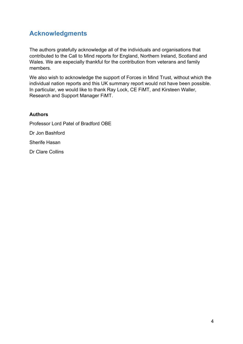# **Acknowledgments**

The authors gratefully acknowledge all of the individuals and organisations that contributed to the Call to Mind reports for England, Northern Ireland, Scotland and Wales. We are especially thankful for the contribution from veterans and family members.

We also wish to acknowledge the support of Forces in Mind Trust, without which the individual nation reports and this UK summary report would not have been possible. In particular, we would like to thank Ray Lock, CE FiMT, and Kirsteen Waller, Research and Support Manager FiMT.

#### **Authors**

Professor Lord Patel of Bradford OBE Dr Jon Bashford Sherife Hasan Dr Clare Collins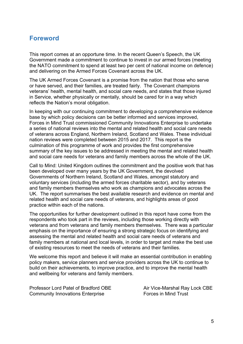### **Foreword**

This report comes at an opportune time. In the recent Queen's Speech, the UK Government made a commitment to continue to invest in our armed forces (meeting the NATO commitment to spend at least two per cent of national income on defence) and delivering on the Armed Forces Covenant across the UK.

The UK Armed Forces Covenant is a promise from the nation that those who serve or have served, and their families, are treated fairly. The Covenant champions veterans' health, mental health, and social care needs, and states that those injured in Service, whether physically or mentally, should be cared for in a way which reflects the Nation's moral obligation.

In keeping with our continuing commitment to developing a comprehensive evidence base by which policy decisions can be better informed and services improved, Forces in Mind Trust commissioned Community Innovations Enterprise to undertake a series of national reviews into the mental and related health and social care needs of veterans across England, Northern Ireland, Scotland and Wales. These individual nation reviews were completed between 2015 and 2017. This report is the culmination of this programme of work and provides the first comprehensive summary of the key issues to be addressed in meeting the mental and related health and social care needs for veterans and family members across the whole of the UK.

Call to Mind: United Kingdom outlines the commitment and the positive work that has been developed over many years by the UK Government, the devolved Governments of Northern Ireland, Scotland and Wales, amongst statutory and voluntary services (including the armed forces charitable sector), and by veterans and family members themselves who work as champions and advocates across the UK. The report summarises the best available research and evidence on mental and related health and social care needs of veterans, and highlights areas of good practice within each of the nations.

The opportunities for further development outlined in this report have come from the respondents who took part in the reviews, including those working directly with veterans and from veterans and family members themselves. There was a particular emphasis on the importance of ensuring a strong strategic focus on identifying and assessing the mental and related health and social care needs of veterans and family members at national and local levels, in order to target and make the best use of existing resources to meet the needs of veterans and their families.

We welcome this report and believe it will make an essential contribution in enabling policy makers, service planners and service providers across the UK to continue to build on their achievements, to improve practice, and to improve the mental health and wellbeing for veterans and family members.

Professor Lord Patel of Bradford OBE Air Vice-Marshal Ray Lock CBE Community Innovations Enterprise **Example 20** Forces in Mind Trust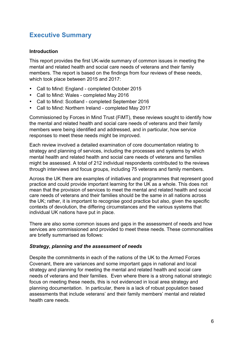# **Executive Summary**

#### **Introduction**

This report provides the first UK-wide summary of common issues in meeting the mental and related health and social care needs of veterans and their family members. The report is based on the findings from four reviews of these needs, which took place between 2015 and 2017:

- Call to Mind: England completed October 2015
- Call to Mind: Wales completed May 2016
- Call to Mind: Scotland completed September 2016
- Call to Mind: Northern Ireland completed May 2017

Commissioned by Forces in Mind Trust (FiMT), these reviews sought to identify how the mental and related health and social care needs of veterans and their family members were being identified and addressed, and in particular, how service responses to meet these needs might be improved.

Each review involved a detailed examination of core documentation relating to strategy and planning of services, including the processes and systems by which mental health and related health and social care needs of veterans and families might be assessed. A total of 212 individual respondents contributed to the reviews through interviews and focus groups, including 75 veterans and family members.

Across the UK there are examples of initiatives and programmes that represent good practice and could provide important learning for the UK as a whole. This does not mean that the provision of services to meet the mental and related health and social care needs of veterans and their families should be the same in all nations across the UK; rather, it is important to recognise good practice but also, given the specific contexts of devolution, the differing circumstances and the various systems that individual UK nations have put in place.

There are also some common issues and gaps in the assessment of needs and how services are commissioned and provided to meet these needs. These commonalities are briefly summarised as follows:

#### *Strategy, planning and the assessment of needs*

Despite the commitments in each of the nations of the UK to the Armed Forces Covenant, there are variances and some important gaps in national and local strategy and planning for meeting the mental and related health and social care needs of veterans and their families. Even where there is a strong national strategic focus on meeting these needs, this is not evidenced in local area strategy and planning documentation. In particular, there is a lack of robust population based assessments that include veterans' and their family members' mental and related health care needs.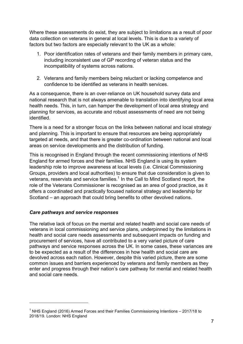Where these assessments do exist, they are subject to limitations as a result of poor data collection on veterans in general at local levels. This is due to a variety of factors but two factors are especially relevant to the UK as a whole:

- 1. Poor identification rates of veterans and their family members in primary care, including inconsistent use of GP recording of veteran status and the incompatibility of systems across nations.
- 2. Veterans and family members being reluctant or lacking competence and confidence to be identified as veterans in health services.

As a consequence, there is an over-reliance on UK household survey data and national research that is not always amenable to translation into identifying local area health needs. This, in turn, can hamper the development of local area strategy and planning for services, as accurate and robust assessments of need are not being identified.

There is a need for a stronger focus on the links between national and local strategy and planning. This is important to ensure that resources are being appropriately targeted at needs, and that there is greater co-ordination between national and local areas on service developments and the distribution of funding.

This is recognised in England through the recent commissioning intentions of NHS England for armed forces and their families. NHS England is using its system leadership role to improve awareness at local levels (i.e. Clinical Commissioning Groups, providers and local authorities) to ensure that due consideration is given to veterans, reservists and service families.<sup>1</sup> In the Call to Mind Scotland report, the role of the Veterans Commissioner is recognised as an area of good practice, as it offers a coordinated and practically focused national strategy and leadership for Scotland – an approach that could bring benefits to other devolved nations.

#### *Care pathways and service responses*

 $\overline{a}$ 

The relative lack of focus on the mental and related health and social care needs of veterans in local commissioning and service plans, underpinned by the limitations in health and social care needs assessments and subsequent impacts on funding and procurement of services, have all contributed to a very varied picture of care pathways and service responses across the UK. In some cases, these variances are to be expected as a result of the differences in how health and social care are devolved across each nation. However, despite this varied picture, there are some common issues and barriers experienced by veterans and family members as they enter and progress through their nation's care pathway for mental and related health and social care needs.

<sup>&</sup>lt;sup>1</sup> NHS England (2016) Armed Forces and their Families Commissioning Intentions – 2017/18 to 2018/19. London: NHS England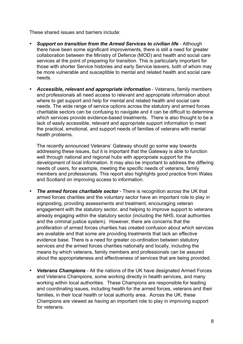These shared issues and barriers include:

- *Support on transition from the Armed Services to civilian life* Although there have been some significant improvements, there is still a need for greater collaboration between the Ministry of Defence (MOD) and health and social care services at the point of preparing for transition. This is particularly important for those with shorter Service histories and early Service leavers, both of whom may be more vulnerable and susceptible to mental and related health and social care needs.
- *Accessible, relevant and appropriate information* Veterans, family members and professionals all need access to relevant and appropriate information about where to get support and help for mental and related health and social care needs. The wide range of service options across the statutory and armed forces charitable sectors can be confusing to navigate and it can be difficult to determine which services provide evidence-based treatments. There is also thought to be a lack of easily accessible, relevant and appropriate support information to meet the practical, emotional, and support needs of families of veterans with mental health problems.

The recently announced Veterans' Gateway should go some way towards addressing these issues, but it is important that the Gateway is able to function well through national and regional hubs with appropriate support for the development of local information. It may also be important to address the differing needs of users, for example, meeting the specific needs of veterans, family members and professionals. This report also highlights good practice from Wales and Scotland on improving access to information.

- *The armed forces charitable sector* There is recognition across the UK that armed forces charities and the voluntary sector have an important role to play in signposting, providing assessments and treatment, encouraging veteran engagement with the statutory sector, and helping to improve support to veterans already engaging within the statutory sector (including the NHS, local authorities and the criminal justice system). However, there are concerns that the proliferation of armed forces charities has created confusion about which services are available and that some are providing treatments that lack an effective evidence base. There is a need for greater co-ordination between statutory services and the armed forces charities nationally and locally, including the means by which veterans, family members and professionals can be assured about the appropriateness and effectiveness of services that are being provided.
- *Veterans Champions* All the nations of the UK have designated Armed Forces and Veterans Champions, some working directly in health services, and many working within local authorities. These Champions are responsible for leading and coordinating issues, including health for the armed forces, veterans and their families, in their local health or local authority area. Across the UK, these Champions are viewed as having an important role to play in improving support for veterans.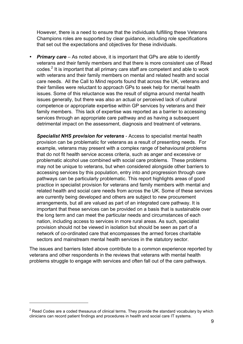However, there is a need to ensure that the individuals fulfilling these Veterans Champions roles are supported by clear guidance, including role specifications that set out the expectations and objectives for these individuals.

**Primary care** – As noted above, it is important that GPs are able to identify veterans and their family members and that there is more consistent use of Read codes. $<sup>2</sup>$  It is important that all primary care staff are competent and able to work</sup> with veterans and their family members on mental and related health and social care needs. All the Call to Mind reports found that across the UK, veterans and their families were reluctant to approach GPs to seek help for mental health issues. Some of this reluctance was the result of stigma around mental health issues generally, but there was also an actual or perceived lack of cultural competence or appropriate expertise within GP services by veterans and their family members. This lack of expertise was reported as a barrier to accessing services through an appropriate care pathway and as having a subsequent detrimental impact on the assessment, diagnosis and treatment of veterans.

*Specialist NHS provision for veterans* - Access to specialist mental health provision can be problematic for veterans as a result of presenting needs. For example, veterans may present with a complex range of behavioural problems that do not fit health service access criteria, such as anger and excessive or problematic alcohol use combined with social care problems. These problems may not be unique to veterans, but when considered alongside other barriers to accessing services by this population, entry into and progression through care pathways can be particularly problematic. This report highlights areas of good practice in specialist provision for veterans and family members with mental and related health and social care needs from across the UK. Some of these services are currently being developed and others are subject to new procurement arrangements, but all are valued as part of an integrated care pathway. It is important that these services can be provided on a basis that is sustainable over the long term and can meet the particular needs and circumstances of each nation, including access to services in more rural areas. As such, specialist provision should not be viewed in isolation but should be seen as part of a network of co-ordinated care that encompasses the armed forces charitable sectors and mainstream mental health services in the statutory sector.

The issues and barriers listed above contribute to a common experience reported by veterans and other respondents in the reviews that veterans with mental health problems struggle to engage with services and often fall out of the care pathways.

 $2$  Read Codes are a coded thesaurus of clinical terms. They provide the standard vocabulary by which clinicians can record patient findings and procedures in health and social care IT systems.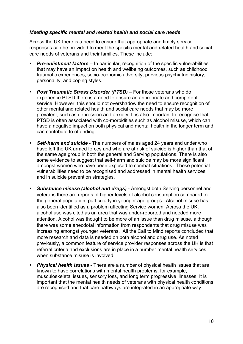#### *Meeting specific mental and related health and social care needs*

Across the UK there is a need to ensure that appropriate and timely service responses can be provided to meet the specific mental and related health and social care needs of veterans and their families. These include:

- **Pre-enlistment factors** In particular, recognition of the specific vulnerabilities that may have an impact on health and wellbeing outcomes, such as childhood traumatic experiences, socio-economic adversity, previous psychiatric history, personality, and coping styles.
- *Post Traumatic Stress Disorder (PTSD)* For those veterans who do experience PTSD there is a need to ensure an appropriate and competent service. However, this should not overshadow the need to ensure recognition of other mental and related health and social care needs that may be more prevalent, such as depression and anxiety. It is also important to recognise that PTSD is often associated with co-morbidities such as alcohol misuse, which can have a negative impact on both physical and mental health in the longer term and can contribute to offending.
- *Self-harm and suicide* The numbers of males aged 24 years and under who have left the UK armed forces and who are at risk of suicide is higher than that of the same age group in both the general and Serving populations. There is also some evidence to suggest that self-harm and suicide may be more significant amongst women who have been exposed to combat situations. These potential vulnerabilities need to be recognised and addressed in mental health services and in suicide prevention strategies.
- *Substance misuse (alcohol and drugs)* Amongst both Serving personnel and veterans there are reports of higher levels of alcohol consumption compared to the general population, particularly in younger age groups. Alcohol misuse has also been identified as a problem affecting Service women. Across the UK, alcohol use was cited as an area that was under-reported and needed more attention. Alcohol was thought to be more of an issue than drug misuse, although there was some anecdotal information from respondents that drug misuse was increasing amongst younger veterans. All the Call to Mind reports concluded that more research and data is needed on both alcohol and drug use. As noted previously, a common feature of service provider responses across the UK is that referral criteria and exclusions are in place in a number mental health services when substance misuse is involved.
- *Physical health issues* There are a number of physical health issues that are known to have correlations with mental health problems, for example, musculoskeletal issues, sensory loss, and long term progressive illnesses. It is important that the mental health needs of veterans with physical health conditions are recognised and that care pathways are integrated in an appropriate way.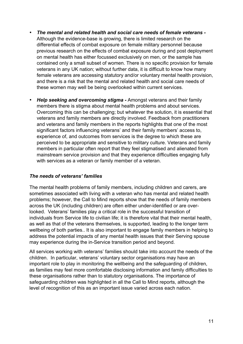- *The mental and related health and social care needs of female veterans -* Although the evidence-base is growing, there is limited research on the differential effects of combat exposure on female military personnel because previous research on the effects of combat exposure during and post deployment on mental health has either focussed exclusively on men, or the sample has contained only a small subset of women. There is no specific provision for female veterans in any UK nation; without further data, it is difficult to know how many female veterans are accessing statutory and/or voluntary mental health provision, and there is a risk that the mental and related health and social care needs of these women may well be being overlooked within current services.
- *Help seeking and overcoming stigma -* Amongst veterans and their family members there is stigma about mental health problems and about services. Overcoming this can be challenging; but whatever the solution, it is essential that veterans and family members are directly involved. Feedback from practitioners and veterans and family members in the reports highlights that one of the most significant factors influencing veterans' and their family members' access to, experience of, and outcomes from services is the degree to which these are perceived to be appropriate and sensitive to military culture. Veterans and family members in particular often report that they feel stigmatised and alienated from mainstream service provision and that they experience difficulties engaging fully with services as a veteran or family member of a veteran.

#### *The needs of veterans' families*

The mental health problems of family members, including children and carers, are sometimes associated with living with a veteran who has mental and related health problems; however, the Call to Mind reports show that the needs of family members across the UK (including children) are often either under-identified or are overlooked. Veterans' families play a critical role in the successful transition of individuals from Service life to civilian life; it is therefore vital that their mental health, as well as that of the veterans themselves, is supported, leading to the longer term wellbeing of both parties.. It is also important to engage family members in helping to address the potential impacts of any mental health issues that their Serving spouse may experience during the in-Service transition period and beyond.

All services working with veterans' families should take into account the needs of the children. In particular, veterans' voluntary sector organisations may have an important role to play in monitoring the wellbeing and the safeguarding of children, as families may feel more comfortable disclosing information and family difficulties to these organisations rather than to statutory organisations. The importance of safeguarding children was highlighted in all the Call to Mind reports, although the level of recognition of this as an important issue varied across each nation.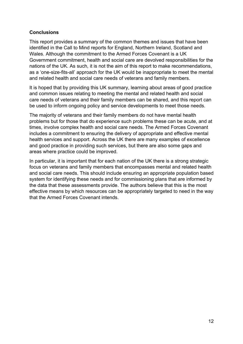#### **Conclusions**

This report provides a summary of the common themes and issues that have been identified in the Call to Mind reports for England, Northern Ireland, Scotland and Wales. Although the commitment to the Armed Forces Covenant is a UK Government commitment, health and social care are devolved responsibilities for the nations of the UK. As such, it is not the aim of this report to make recommendations, as a 'one-size-fits-all' approach for the UK would be inappropriate to meet the mental and related health and social care needs of veterans and family members.

It is hoped that by providing this UK summary, learning about areas of good practice and common issues relating to meeting the mental and related health and social care needs of veterans and their family members can be shared, and this report can be used to inform ongoing policy and service developments to meet those needs.

The majority of veterans and their family members do not have mental health problems but for those that do experience such problems these can be acute, and at times, involve complex health and social care needs. The Armed Forces Covenant includes a commitment to ensuring the delivery of appropriate and effective mental health services and support. Across the UK there are many examples of excellence and good practice in providing such services, but there are also some gaps and areas where practice could be improved.

In particular, it is important that for each nation of the UK there is a strong strategic focus on veterans and family members that encompasses mental and related health and social care needs. This should include ensuring an appropriate population based system for identifying these needs and for commissioning plans that are informed by the data that these assessments provide. The authors believe that this is the most effective means by which resources can be appropriately targeted to need in the way that the Armed Forces Covenant intends.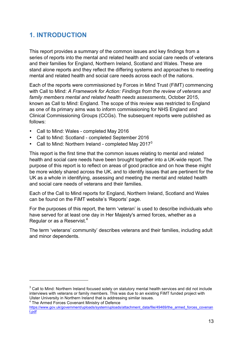# **1. INTRODUCTION**

This report provides a summary of the common issues and key findings from a series of reports into the mental and related health and social care needs of veterans and their families for England, Northern Ireland, Scotland and Wales. These are stand alone reports and they reflect the differing systems and approaches to meeting mental and related health and social care needs across each of the nations.

Each of the reports were commissioned by Forces in Mind Trust (FiMT) commencing with Call to Mind: *A Framework for Action: Findings from the review of veterans and family members mental and related health needs assessments*, October 2015, known as Call to Mind: England. The scope of this review was restricted to England as one of its primary aims was to inform commissioning for NHS England and Clinical Commissioning Groups (CCGs). The subsequent reports were published as follows:

- Call to Mind: Wales completed May 2016
- Call to Mind: Scotland completed September 2016
- Call to Mind: Northern Ireland completed May 2017 $3$

This report is the first time that the common issues relating to mental and related health and social care needs have been brought together into a UK-wide report. The purpose of this report is to reflect on areas of good practice and on how these might be more widely shared across the UK, and to identify issues that are pertinent for the UK as a whole in identifying, assessing and meeting the mental and related health and social care needs of veterans and their families.

Each of the Call to Mind reports for England, Northern Ireland, Scotland and Wales can be found on the FiMT website's 'Reports' page.

For the purposes of this report, the term 'veteran' is used to describe individuals who have served for at least one day in Her Majesty's armed forces, whether as a Regular or as a Reservist.<sup>4</sup>

The term 'veterans' community' describes veterans and their families, including adult and minor dependents.

<sup>4</sup> The Armed Forces Covenant Ministry of Defence

 $3$  Call to Mind: Northern Ireland focused solely on statutory mental health services and did not include interviews with veterans or family members. This was due to an existing FiMT funded project with Ulster University in Northern Ireland that is addressing similar issues.

https://www.gov.uk/government/uploads/system/uploads/attachment\_data/file/49469/the\_armed\_forces\_covenan t.pdf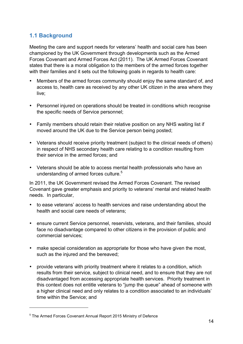### **1.1 Background**

Meeting the care and support needs for veterans' health and social care has been championed by the UK Government through developments such as the Armed Forces Covenant and Armed Forces Act (2011). The UK Armed Forces Covenant states that there is a moral obligation to the members of the armed forces together with their families and it sets out the following goals in regards to health care:

- Members of the armed forces community should enjoy the same standard of, and access to, health care as received by any other UK citizen in the area where they live;
- Personnel injured on operations should be treated in conditions which recognise the specific needs of Service personnel;
- Family members should retain their relative position on any NHS waiting list if moved around the UK due to the Service person being posted;
- Veterans should receive priority treatment (subject to the clinical needs of others) in respect of NHS secondary health care relating to a condition resulting from their service in the armed forces; and
- Veterans should be able to access mental health professionals who have an understanding of armed forces culture.<sup>5</sup>

In 2011, the UK Government revised the Armed Forces Covenant. The revised Covenant gave greater emphasis and priority to veterans' mental and related health needs. In particular,

- to ease veterans' access to health services and raise understanding about the health and social care needs of veterans;
- ensure current Service personnel, reservists, veterans, and their families, should face no disadvantage compared to other citizens in the provision of public and commercial services;
- make special consideration as appropriate for those who have given the most, such as the injured and the bereaved;
- provide veterans with priority treatment where it relates to a condition, which results from their service, subject to clinical need, and to ensure that they are not disadvantaged from accessing appropriate health services. Priority treatment in this context does not entitle veterans to "jump the queue" ahead of someone with a higher clinical need and only relates to a condition associated to an individuals' time within the Service; and

<sup>&</sup>lt;sup>5</sup> The Armed Forces Covenant Annual Report 2015 Ministry of Defence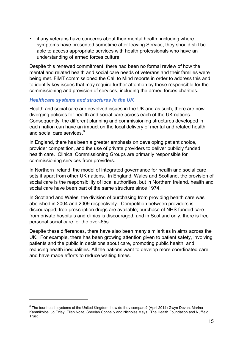• if any veterans have concerns about their mental health, including where symptoms have presented sometime after leaving Service, they should still be able to access appropriate services with health professionals who have an understanding of armed forces culture.

Despite this renewed commitment, there had been no formal review of how the mental and related health and social care needs of veterans and their families were being met. FiMT commissioned the Call to Mind reports in order to address this and to identify key issues that may require further attention by those responsible for the commissioning and provision of services, including the armed forces charities.

#### *Healthcare systems and structures in the UK*

 $\overline{a}$ 

Health and social care are devolved issues in the UK and as such, there are now diverging policies for health and social care across each of the UK nations. Consequently, the different planning and commissioning structures developed in each nation can have an impact on the local delivery of mental and related health and social care services. $^6$ 

In England, there has been a greater emphasis on developing patient choice, provider competition, and the use of private providers to deliver publicly funded health care. Clinical Commissioning Groups are primarily responsible for commissioning services from providers.

In Northern Ireland, the model of integrated governance for health and social care sets it apart from other UK nations. In England, Wales and Scotland, the provision of social care is the responsibility of local authorities, but in Northern Ireland, health and social care have been part of the same structure since 1974.

In Scotland and Wales, the division of purchasing from providing health care was abolished in 2004 and 2009 respectively. Competition between providers is discouraged; free prescription drugs are available; purchase of NHS funded care from private hospitals and clinics is discouraged, and in Scotland only, there is free personal social care for the over-65s.

Despite these differences, there have also been many similarities in aims across the UK. For example, there has been growing attention given to patient safety, involving patients and the public in decisions about care, promoting public health, and reducing health inequalities. All the nations want to develop more coordinated care, and have made efforts to reduce waiting times.

 $6$  The four health systems of the United Kingdom: how do they compare? (April 2014) Gwyn Devan, Marina Karanikolos, Jo Exley, Ellen Nolte, Sheelah Connelly and Nicholas Mays. The Health Foundation and Nuffield Trust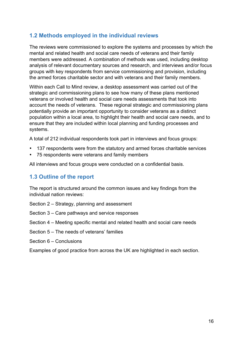### **1.2 Methods employed in the individual reviews**

The reviews were commissioned to explore the systems and processes by which the mental and related health and social care needs of veterans and their family members were addressed. A combination of methods was used, including desktop analysis of relevant documentary sources and research, and interviews and/or focus groups with key respondents from service commissioning and provision, including the armed forces charitable sector and with veterans and their family members.

Within each Call to Mind review, a desktop assessment was carried out of the strategic and commissioning plans to see how many of these plans mentioned veterans or involved health and social care needs assessments that took into account the needs of veterans. These regional strategic and commissioning plans potentially provide an important opportunity to consider veterans as a distinct population within a local area, to highlight their health and social care needs, and to ensure that they are included within local planning and funding processes and systems.

A total of 212 individual respondents took part in interviews and focus groups:

- 137 respondents were from the statutory and armed forces charitable services
- 75 respondents were veterans and family members

All interviews and focus groups were conducted on a confidential basis.

### **1.3 Outline of the report**

The report is structured around the common issues and key findings from the individual nation reviews:

- Section 2 Strategy, planning and assessment
- Section 3 Care pathways and service responses
- Section 4 Meeting specific mental and related health and social care needs
- Section 5 The needs of veterans' families
- Section 6 Conclusions

Examples of good practice from across the UK are highlighted in each section.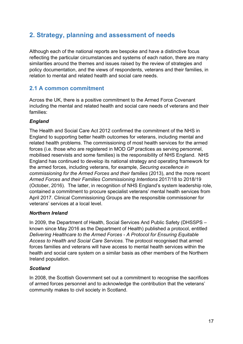# **2. Strategy, planning and assessment of needs**

Although each of the national reports are bespoke and have a distinctive focus reflecting the particular circumstances and systems of each nation, there are many similarities around the themes and issues raised by the review of strategies and policy documentation, and the views of respondents, veterans and their families, in relation to mental and related health and social care needs.

### **2.1 A common commitment**

Across the UK, there is a positive commitment to the Armed Force Covenant including the mental and related health and social care needs of veterans and their families:

#### *England*

The Health and Social Care Act 2012 confirmed the commitment of the NHS in England to supporting better health outcomes for veterans, including mental and related health problems. The commissioning of most health services for the armed forces (i.e. those who are registered in MOD GP practices as serving personnel, mobilised reservists and some families) is the responsibility of NHS England. NHS England has continued to develop its national strategy and operating framework for the armed forces, including veterans, for example, *Securing excellence in commissioning for the Armed Forces and their families* (2013), and the more recent *Armed Forces and their Families Commissioning Intentions* 2017/18 to 2018/19 (October, 2016). The latter, in recognition of NHS England's system leadership role, contained a commitment to procure specialist veterans' mental health services from April 2017. Clinical Commissioning Groups are the responsible commissioner for veterans' services at a local level.

#### *Northern Ireland*

In 2009, the Department of Health, Social Services And Public Safety (DHSSPS – known since May 2016 as the Department of Health) published a protocol, entitled *Delivering Healthcare to the Armed Forces - A Protocol for Ensuring Equitable Access to Health and Social Care Services.* The protocol recognised that armed forces families and veterans will have access to mental health services within the health and social care system on a similar basis as other members of the Northern Ireland population.

#### *Scotland*

In 2008, the Scottish Government set out a commitment to recognise the sacrifices of armed forces personnel and to acknowledge the contribution that the veterans' community makes to civil society in Scotland.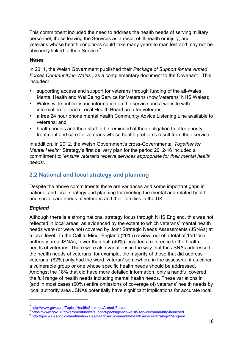This commitment included the need to address the health needs of serving military personnel, those leaving the Services as a result of ill-health or injury, and veterans whose health conditions could take many years to manifest and may not be obviously linked to their Service.<sup>7</sup>

#### *Wales*

In 2011, the Welsh Government published their *Package of Support for the Armed*  Forces Community in Wales<sup>8</sup>, as a complementary document to the Covenant. This included:

- supporting access and support for veterans through funding of the all-Wales Mental Health and WellBeing Service for Veterans (now Veterans' NHS Wales);
- Wales-wide publicity and information on the service and a website with information for each Local Health Board area for veterans;
- a free 24 hour phone mental health Community Advice Listening Line available to veterans; and
- health bodies and their staff to be reminded of their obligation to offer priority treatment and care for veterans whose health problems result from their service.

In addition, in 2012, the Welsh Government's cross-Governmental *Together for Mental Health<sup>9</sup>* Strategy's first delivery plan for the period 2012-16 included a commitment to '*ensure veterans receive services appropriate for their mental health needs'.*

### **2.2 National and local strategy and planning**

Despite the above commitments there are variances and some important gaps in national and local strategy and planning for meeting the mental and related health and social care needs of veterans and their families in the UK.

#### *England*

 $\overline{a}$ 

Although there is a strong national strategy focus through NHS England, this was not reflected in local areas, as evidenced by the extent to which veterans' mental health needs were (or were not) covered by Joint Strategic Needs Assessments (JSNAs) at a local level. In the Call to Mind: England (2015) review, out of a total of 150 local authority area JSNAs, fewer than half (40%) included a reference to the health needs of veterans. There were also variations in the way that the JSNAs addressed the health needs of veterans; for example, the majority of those that did address veterans, (82%) only had the word 'veteran' somewhere in the assessment as either a vulnerable group or one whose specific health needs should be addressed. Amongst the 18% that did have more detailed information, only a handful covered the full range of health needs including mental health needs. These variations in (and in most cases (60%) entire omissions of coverage of) veterans' health needs by local authority area JSNAs potentially have significant implications for accurate local

<sup>%</sup> http://www.gov.scot/Topics/Health/Services/Armed-Forces<br>8 https://www.gov.uk/government/news/support-package-for-welsh-servicecommunity-launched<br>9 http://gov.wales/topics/health/nhswales/healthservice/mental-healthservic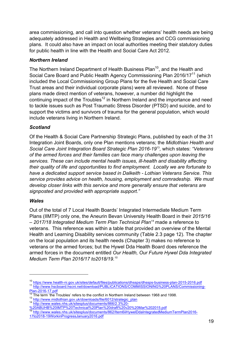area commissioning, and call into question whether veterans' health needs are being adequately addressed in Health and Wellbeing Strategies and CCG commissioning plans. It could also have an impact on local authorities meeting their statutory duties for public health in line with the Health and Social Care Act 2012.

#### *Northern Ireland*

The Northern Ireland Department of Health Business Plan<sup>10</sup>, and the Health and Social Care Board and Public Health Agency Commissioning Plan 2016/17<sup>11</sup> (which included the Local Commissioning Group Plans for the five Health and Social Care Trust areas and their individual corporate plans) were all reviewed. None of these plans made direct mention of veterans, however, a number did highlight the continuing impact of the Troubles<sup>12</sup> in Northern Ireland and the importance and need to tackle issues such as Post Traumatic Stress Disorder (PTSD) and suicide, and to support the victims and survivors of trauma for the general population, which would include veterans living in Northern Ireland.

#### *Scotland*

Of the Health & Social Care Partnership Strategic Plans, published by each of the 31 Integration Joint Boards, only one Plan mentions veterans; the *Midlothian Health and Social Care Joint Integration Board Strategic Plan 2016-19*<sup>13</sup>*,* which states: *"Veterans of the armed forces and their families can face many challenges upon leaving the services. These can include mental health issues, ill-health and disability affecting their quality of life and opportunities to find employment. Locally we are fortunate to have a dedicated support service based in Dalkeith - Lothian Veterans Service. This service provides advice on health, housing, employment and comradeship. We must develop closer links with this service and more generally ensure that veterans are signposted and provided with appropriate support."*

#### *Wales*

Out of the total of 7 Local Health Boards' Integrated Intermediate Medium Term Plans (IIMTP) only one, the Aneurin Bevan University Health Board in their *2015/16 – 2017/18 Integrated Medium Term Plan Technical Plan14* made a reference to veterans. This reference was within a table that provided an overview of the Mental Health and Learning Disability services community (Table 2.3 page 12). The chapter on the local population and its health needs (Chapter 3) makes no reference to veterans or the armed forces; but the Hywel Dda Health Board does reference the armed forces in the document entitled *Our Health, Our Future Hywel Dda Integrated Medium Term Plan 2016/17 to2018/19.15*

<sup>&</sup>lt;sup>10</sup> https://www.health-ni.gov.uk/sites/default/files/publications/dhssps/dhssps-business-plan-2015-2016.pdf<br><sup>11</sup> http://www.hscboard.hscni.net/download/PUBLICATIONS/COMMISSIONING%20PLANS/Commissioning-

Plan-2016-17.pdf<br><sup>12</sup> The term 'the Troubles' refers to the conflict in Northern Ireland between 1968 and 1998.<br><sup>13</sup> http://www.midlothian.gov.uk/downloads/file/6012/strategic\_plan<br><sup>14</sup> http://www.wales.nhs.uk/s<u>itesplus/d</u>

<sup>%20</sup>ABUHB%20IMTP%20Technical%20Plan%20draft%20v20%20Mar%202015.pdf

<sup>15</sup> http://www.wales.nhs.uk/sitesplus/documents/862/Item6iiHywelDdaIntegratedMediumTermPlan2016- 17to2018-19WorkinProgressJanuary2016.pdf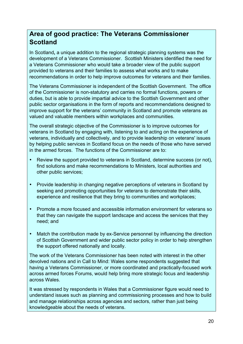# **Area of good practice: The Veterans Commissioner Scotland**

In Scotland**,** a unique addition to the regional strategic planning systems was the development of a Veterans Commissioner. Scottish Ministers identified the need for a Veterans Commissioner who would take a broader view of the public support provided to veterans and their families to assess what works and to make recommendations in order to help improve outcomes for veterans and their families.

The Veterans Commissioner is independent of the Scottish Government. The office of the Commissioner is non-statutory and carries no formal functions, powers or duties, but is able to provide impartial advice to the Scottish Government and other public sector organisations in the form of reports and recommendations designed to improve support for the veterans' community in Scotland and promote veterans as valued and valuable members within workplaces and communities.

The overall strategic objective of the Commissioner is to improve outcomes for veterans in Scotland by engaging with, listening to and acting on the experience of veterans, individually and collectively, and to provide leadership on veterans' issues by helping public services in Scotland focus on the needs of those who have served in the armed forces. The functions of the Commissioner are to:

- Review the support provided to veterans in Scotland, determine success (or not), find solutions and make recommendations to Ministers, local authorities and other public services;
- Provide leadership in changing negative perceptions of veterans in Scotland by seeking and promoting opportunities for veterans to demonstrate their skills, experience and resilience that they bring to communities and workplaces;
- Promote a more focused and accessible information environment for veterans so that they can navigate the support landscape and access the services that they need; and
- Match the contribution made by ex-Service personnel by influencing the direction of Scottish Government and wider public sector policy in order to help strengthen the support offered nationally and locally.

The work of the Veterans Commissioner has been noted with interest in the other devolved nations and in Call to Mind: Wales some respondents suggested that having a Veterans Commissioner, or more coordinated and practically-focused work across armed forces Forums, would help bring more strategic focus and leadership across Wales.

It was stressed by respondents in Wales that a Commissioner figure would need to understand issues such as planning and commissioning processes and how to build and manage relationships across agencies and sectors, rather than just being knowledgeable about the needs of veterans.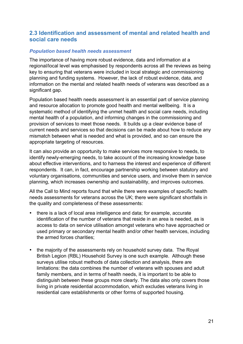### **2.3 Identification and assessment of mental and related health and social care needs**

#### *Population based health needs assessment*

The importance of having more robust evidence, data and information at a regional/local level was emphasised by respondents across all the reviews as being key to ensuring that veterans were included in local strategic and commissioning planning and funding systems. However, the lack of robust evidence, data, and information on the mental and related health needs of veterans was described as a significant gap.

Population based health needs assessment is an essential part of service planning and resource allocation to promote good health and mental wellbeing. It is a systematic method of identifying the unmet health and social care needs, including mental health of a population, and informing changes in the commissioning and provision of services to meet those needs. It builds up a clear evidence base of current needs and services so that decisions can be made about how to reduce any mismatch between what is needed and what is provided, and so can ensure the appropriate targeting of resources.

It can also provide an opportunity to make services more responsive to needs, to identify newly-emerging needs, to take account of the increasing knowledge base about effective interventions, and to harness the interest and experience of different respondents. It can, in fact, encourage partnership working between statutory and voluntary organisations, communities and service users, and involve them in service planning, which increases ownership and sustainability, and improves outcomes.

All the Call to Mind reports found that while there were examples of specific health needs assessments for veterans across the UK; there were significant shortfalls in the quality and completeness of these assessments:

- there is a lack of local area intelligence and data; for example, accurate identification of the number of veterans that reside in an area is needed, as is access to data on service utilisation amongst veterans who have approached or used primary or secondary mental health and/or other health services, including the armed forces charities;
- the majority of the assessments rely on household survey data. The Royal British Legion (RBL) Household Survey is one such example. Although these surveys utilise robust methods of data collection and analysis, there are limitations: the data combines the number of veterans with spouses and adult family members, and in terms of health needs, it is important to be able to distinguish between these groups more clearly. The data also only covers those living in private residential accommodation, which excludes veterans living in residential care establishments or other forms of supported housing.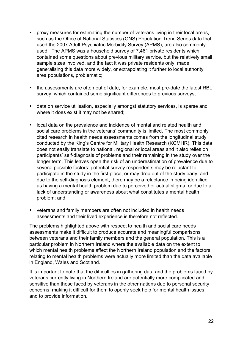- proxy measures for estimating the number of veterans living in their local areas, such as the Office of National Statistics (ONS) Population Trend Series data that used the 2007 Adult Psychiatric Morbidity Survey (APMS), are also commonly used. The APMS was a household survey of 7,461 private residents which contained some questions about previous military service, but the relatively small sample sizes involved, and the fact it was private residents only, made generalising this data more widely, or extrapolating it further to local authority area populations, problematic;
- the assessments are often out of date, for example, most pre-date the latest RBL survey, which contained some significant differences to previous surveys;
- data on service utilisation, especially amongst statutory services, is sparse and where it does exist it may not be shared;
- local data on the prevalence and incidence of mental and related health and social care problems in the veterans' community is limited. The most commonly cited research in health needs assessments comes from the longitudinal study conducted by the King's Centre for Military Health Research (KCMHR). This data does not easily translate to national, regional or local areas and it also relies on participants' self-diagnosis of problems and their remaining in the study over the longer term. This leaves open the risk of an underestimation of prevalence due to several possible factors: potential survey respondents may be reluctant to participate in the study in the first place, or may drop out of the study early; and due to the self-diagnosis element, there may be a reluctance in being identified as having a mental health problem due to perceived or actual stigma, or due to a lack of understanding or awareness about what constitutes a mental health problem; and
- veterans and family members are often not included in health needs assessments and their lived experience is therefore not reflected.

The problems highlighted above with respect to health and social care needs assessments make it difficult to produce accurate and meaningful comparisons between veterans and their family members and the general population. This is a particular problem in Northern Ireland where the available data on the extent to which mental health problems affect the Northern Ireland population and the factors relating to mental health problems were actually more limited than the data available in England, Wales and Scotland.

It is important to note that the difficulties in gathering data and the problems faced by veterans currently living in Northern Ireland are potentially more complicated and sensitive than those faced by veterans in the other nations due to personal security concerns, making it difficult for them to openly seek help for mental health issues and to provide information.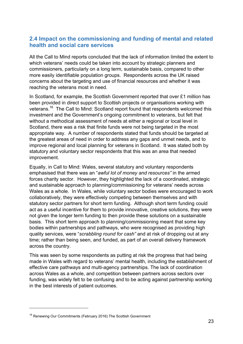### **2.4 Impact on the commissioning and funding of mental and related health and social care services**

All the Call to Mind reports concluded that the lack of information limited the extent to which veterans' needs could be taken into account by strategic planners and commissioners, particularly on a long term, sustainable basis, compared to other more easily identifiable population groups. Respondents across the UK raised concerns about the targeting and use of financial resources and whether it was reaching the veterans most in need.

In Scotland, for example, the Scottish Government reported that over £1 million has been provided in direct support to Scottish projects or organisations working with veterans.<sup>16</sup> The Call to Mind: Scotland report found that respondents welcomed this investment and the Government's ongoing commitment to veterans, but felt that without a methodical assessment of needs at either a regional or local level in Scotland, there was a risk that finite funds were not being targeted in the most appropriate way. A number of respondents stated that funds should be targeted at the greatest areas of need in order to address any gaps and unmet needs, and to improve regional and local planning for veterans in Scotland. It was stated both by statutory and voluntary sector respondents that this was an area that needed improvement.

Equally, in Call to Mind: Wales, several statutory and voluntary respondents emphasised that there was an "*awful lot of money and resources"* in the armed forces charity sector. However, they highlighted the lack of a coordinated, strategic and sustainable approach to planning/commissioning for veterans' needs across Wales as a whole. In Wales, while voluntary sector bodies were encouraged to work collaboratively, they were effectively competing between themselves and with statutory sector partners for short term funding. Although short term funding could act as a useful incentive for them to provide innovative, creative solutions, they were not given the longer term funding to then provide these solutions on a sustainable basis. This short term approach to planning/commissioning meant that some key bodies within partnerships and pathways, who were recognised as providing high quality services, were "*scrabbling round for cash"* and at risk of dropping out at any time; rather than being seen, and funded, as part of an overall delivery framework across the country.

This was seen by some respondents as putting at risk the progress that had being made in Wales with regard to veterans' mental health, including the establishment of effective care pathways and multi-agency partnerships. The lack of coordination across Wales as a whole, and competition between partners across sectors over funding, was widely felt to be confusing and to be acting against partnership working in the best interests of patient outcomes.

<sup>&</sup>lt;sup>16</sup> Renewing Our Commitments (February 2016) The Scottish Government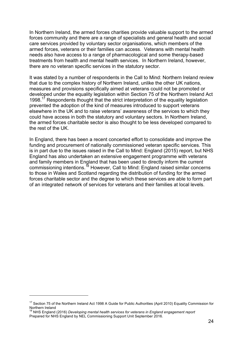In Northern Ireland, the armed forces charities provide valuable support to the armed forces community and there are a range of specialists and general health and social care services provided by voluntary sector organisations, which members of the armed forces, veterans or their families can access. Veterans with mental health needs also have access to a range of pharmacological and some therapy-based treatments from health and mental health services. In Northern Ireland, however, there are no veteran specific services in the statutory sector.

It was stated by a number of respondents in the Call to Mind: Northern Ireland review that due to the complex history of Northern Ireland, unlike the other UK nations, measures and provisions specifically aimed at veterans could not be promoted or developed under the equality legislation within Section 75 of the Northern Ireland Act 1998.<sup>17</sup> Respondents thought that the strict interpretation of the equality legislation prevented the adoption of the kind of measures introduced to support veterans elsewhere in the UK and to raise veterans' awareness of the services to which they could have access in both the statutory and voluntary sectors. In Northern Ireland, the armed forces charitable sector is also thought to be less developed compared to the rest of the UK.

In England, there has been a recent concerted effort to consolidate and improve the funding and procurement of nationally commissioned veteran specific services. This is in part due to the issues raised in the Call to Mind: England (2015) report, but NHS England has also undertaken an extensive engagement programme with veterans and family members in England that has been used to directly inform the current commissioning intentions.<sup>18</sup> However, Call to Mind: England raised similar concerns to those in Wales and Scotland regarding the distribution of funding for the armed forces charitable sector and the degree to which these services are able to form part of an integrated network of services for veterans and their families at local levels.

<sup>&</sup>lt;sup>17</sup> Section 75 of the Northern Ireland Act 1998 A Guide for Public Authorities (April 2010) Equality Commission for Northern Ireland

<sup>18</sup> NHS England (2016) *Developing mental health services for veterans in England engagement report* Prepared for NHS England by NEL Commissioning Support Unit September 2016.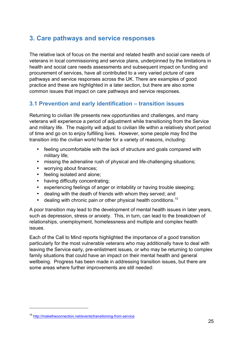## **3. Care pathways and service responses**

The relative lack of focus on the mental and related health and social care needs of veterans in local commissioning and service plans, underpinned by the limitations in health and social care needs assessments and subsequent impact on funding and procurement of services, have all contributed to a very varied picture of care pathways and service responses across the UK. There are examples of good practice and these are highlighted in a later section, but there are also some common issues that impact on care pathways and service responses.

### **3.1 Prevention and early identification – transition issues**

Returning to civilian life presents new opportunities and challenges, and many veterans will experience a period of adjustment while transitioning from the Service and military life. The majority will adjust to civilian life within a relatively short period of time and go on to enjoy fulfilling lives. However, some people may find the transition into the civilian world harder for a variety of reasons, including:

- feeling uncomfortable with the lack of structure and goals compared with military life;
- missing the adrenaline rush of physical and life-challenging situations;
- worrying about finances;
- feeling isolated and alone;
- having difficulty concentrating;
- experiencing feelings of anger or irritability or having trouble sleeping;
- dealing with the death of friends with whom they served; and
- dealing with chronic pain or other physical health conditions.<sup>19</sup>

A poor transition may lead to the development of mental health issues in later years, such as depression, stress or anxiety. This, in turn, can lead to the breakdown of relationships, unemployment, homelessness and multiple and complex health issues.

Each of the Call to Mind reports highlighted the importance of a good transition particularly for the most vulnerable veterans who may additionally have to deal with leaving the Service early, pre-enlistment issues, or who may be returning to complex family situations that could have an impact on their mental health and general wellbeing. Progress has been made in addressing transition issues, but there are some areas where further improvements are still needed:

<sup>19</sup> http://maketheconnection.net/events/transitioning-from-service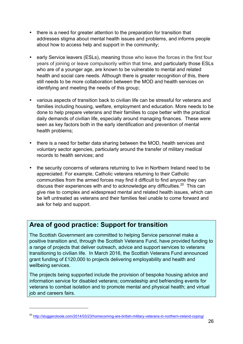- there is a need for greater attention to the preparation for transition that addresses stigma about mental health issues and problems, and informs people about how to access help and support in the community;
- early Service leavers (ESLs), meaning those who leave the forces in the first four years of joining or leave compulsorily within that time, and particularly those ESLs who are of a younger age, are known to be vulnerable to mental and related health and social care needs. Although there is greater recognition of this, there still needs to be more collaboration between the MOD and health services on identifying and meeting the needs of this group;
- various aspects of transition back to civilian life can be stressful for veterans and families including housing, welfare, employment and education. More needs to be done to help prepare veterans and their families to cope better with the practical daily demands of civilian life, especially around managing finances. These were seen as key factors both in the early identification and prevention of mental health problems;
- there is a need for better data sharing between the MOD, health services and voluntary sector agencies, particularly around the transfer of military medical records to health services; and
- the security concerns of veterans returning to live in Northern Ireland need to be appreciated. For example, Catholic veterans returning to their Catholic communities from the armed forces may find it difficult to find anyone they can discuss their experiences with and to acknowledge any difficulties.<sup>20</sup> This can give rise to complex and widespread mental and related health issues, which can be left untreated as veterans and their families feel unable to come forward and ask for help and support.

# **Area of good practice: Support for transition**

 $\overline{a}$ 

The Scottish Government are committed to helping Service personnel make a positive transition and, through the Scottish Veterans Fund, have provided funding to a range of projects that deliver outreach, advice and support services to veterans transitioning to civilian life. In March 2016, the Scottish Veterans Fund announced grant funding of £120,000 to projects delivering employability and health and wellbeing services.

The projects being supported include the provision of bespoke housing advice and information service for disabled veterans; comradeship and befriending events for veterans to combat isolation and to promote mental and physical health; and virtual job and careers fairs.

<sup>&</sup>lt;sup>20</sup> http://sluggerotoole.com/2014/03/23/homecoming-are-british-military-veterans-in-northern-ireland-coping/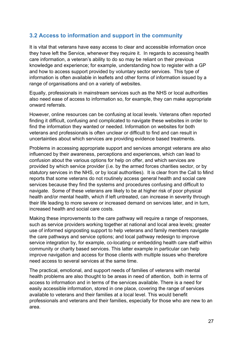### **3.2 Access to information and support in the community**

It is vital that veterans have easy access to clear and accessible information once they have left the Service, whenever they require it. In regards to accessing health care information, a veteran's ability to do so may be reliant on their previous knowledge and experience; for example, understanding how to register with a GP and how to access support provided by voluntary sector services. This type of information is often available in leaflets and other forms of information issued by a range of organisations and on a variety of websites.

Equally, professionals in mainstream services such as the NHS or local authorities also need ease of access to information so, for example, they can make appropriate onward referrals.

However, online resources can be confusing at local levels. Veterans often reported finding it difficult, confusing and complicated to navigate these websites in order to find the information they wanted or needed. Information on websites for both veterans and professionals is often unclear or difficult to find and can result in uncertainties about which services are providing evidence based treatments.

Problems in accessing appropriate support and services amongst veterans are also influenced by their awareness, perceptions and experiences, which can lead to confusion about the various options for help on offer, and which services are provided by which service provider (i.e. by the armed forces charities sector, or by statutory services in the NHS, or by local authorities). It is clear from the Call to Mind reports that some veterans do not routinely access general health and social care services because they find the systems and procedures confusing and difficult to navigate. Some of these veterans are likely to be at higher risk of poor physical health and/or mental health, which if left untreated, can increase in severity through their life leading to more severe or increased demand on services later, and in turn, increased health and social care costs.

Making these improvements to the care pathway will require a range of responses. such as service providers working together at national and local area levels; greater use of informed signposting support to help veterans and family members navigate the care pathways and service options; and local pathway redesign to improve service integration by, for example, co-locating or embedding health care staff within community or charity based services. This latter example in particular can help improve navigation and access for those clients with multiple issues who therefore need access to several services at the same time.

The practical, emotional, and support needs of families of veterans with mental health problems are also thought to be areas in need of attention, both in terms of access to information and in terms of the services available. There is a need for easily accessible information, stored in one place, covering the range of services available to veterans and their families at a local level. This would benefit professionals and veterans and their families, especially for those who are new to an area.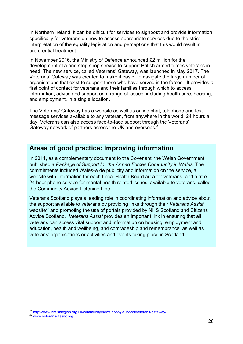In Northern Ireland, it can be difficult for services to signpost and provide information specifically for veterans on how to access appropriate services due to the strict interpretation of the equality legislation and perceptions that this would result in preferential treatment.

In November 2016, the Ministry of Defence announced £2 million for the development of a one-stop-shop service to support British armed forces veterans in need. The new service, called Veterans' Gateway, was launched in May 2017. The Veterans' Gateway was created to make it easier to navigate the large number of organisations that exist to support those who have served in the forces. It provides a first point of contact for veterans and their families through which to access information, advice and support on a range of issues, including health care, housing, and employment, in a single location.

The Veterans' Gateway has a website as well as online chat, telephone and text message services available to any veteran, from anywhere in the world, 24 hours a day. Veterans can also access face-to-face support through the Veterans' Gateway network of partners across the UK and overseas.<sup>21</sup>

### **Areas of good practice: Improving information**

In 2011, as a complementary document to the Covenant, the Welsh Government published a *Package of Support for the Armed Forces Community in Wales*. The commitments included Wales-wide publicity and information on the service, a website with information for each Local Health Board area for veterans, and a free 24 hour phone service for mental health related issues, available to veterans, called the Community Advice Listening Line.

Veterans Scotland plays a leading role in coordinating information and advice about the support available to veterans by providing links through their *Veterans Assist* website $^{22}$  and promoting the use of portals provided by NHS Scotland and Citizens Advice Scotland. *Veterans Assist* provides an important link in ensuring that all veterans can access vital support and information on housing, employment and education, health and wellbeing, and comradeship and remembrance, as well as veterans' organisations or activities and events taking place in Scotland.

<sup>&</sup>lt;sup>21</sup> http://www.britishlegion.org.uk/community/news/poppy-support/veterans-gateway/<br> $^{22}$  www.veterans-assist.org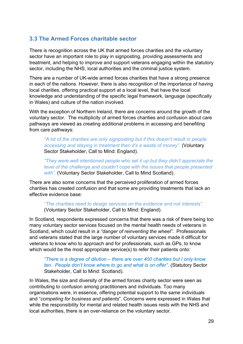### **3.3 The Armed Forces charitable sector**

There is recognition across the UK that armed forces charities and the voluntary sector have an important role to play in signposting, providing assessments and treatment, and helping to improve and support veterans engaging within the statutory sector, including the NHS, local authorities and the criminal justice system.

There are a number of UK-wide armed forces charities that have a strong presence in each of the nations. However, there is also recognition of the importance of having local charities, offering practical support at a local level, that have the local knowledge and understanding of the specific legal framework, language (specifically in Wales) and culture of the nation involved.

With the exception of Northern Ireland, there are concerns around the growth of the voluntary sector. The multiplicity of armed forces charities and confusion about care pathways are viewed as creating additional problems in accessing and benefiting from care pathways:

*"A lot of the charities are only signposting but if this doesn't result in people accessing and staying in treatment then it's a waste of money".* (Voluntary Sector Stakeholder, Call to Mind: England).

*"They were well intentioned people who set it up but they didn't appreciate the level of the challenge and couldn't cope with the issues that people presented with".* (Voluntary Sector Stakeholder, Call to Mind Scotland).

There are also some concerns that the perceived proliferation of armed forces charities has created confusion and that some are providing treatments that lack an effective evidence base:

*"The charities need to design services on the evidence and not interests".* (Voluntary Sector Stakeholder, Call to Mind: England).

In Scotland, respondents expressed concerns that there was a risk of there being too many voluntary sector services focused on the mental health needs of veterans in Scotland, which could result in a *"danger of reinventing the wheel"*. Professionals and veterans stated that the large number of voluntary services made it difficult for veterans to know who to approach and for professionals, such as GPs, to know which would be the most appropriate service(s) to refer their patients onto:

*"There is a degree of dilution – there are over 400 charities but I only know ten. People don't know where to go and what is on offer".* (Statutory Sector Stakeholder, Call to Mind: Scotland).

In Wales, the size and diversity of the armed forces charity sector were seen as contributing to confusion among practitioners and individuals. Too many organisations were, in essence, offering potential support to the same individuals and "*competing for business and patients*". Concerns were expressed in Wales that while the responsibility for mental and related health issues rests with the NHS and local authorities, there is an over-reliance on the voluntary sector.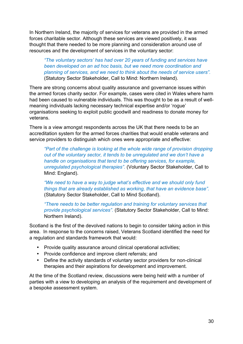In Northern Ireland, the majority of services for veterans are provided in the armed forces charitable sector. Although these services are viewed positively, it was thought that there needed to be more planning and consideration around use of resources and the development of services in the voluntary sector:

*"The voluntary sectors' has had over 20 years of funding and services have been developed on an ad hoc basis, but we need more coordination and planning of services, and we need to think about the needs of service users".* (Statutory Sector Stakeholder, Call to Mind: Northern Ireland).

There are strong concerns about quality assurance and governance issues within the armed forces charity sector. For example, cases were cited in Wales where harm had been caused to vulnerable individuals. This was thought to be as a result of wellmeaning individuals lacking necessary technical expertise and/or 'rogue' organisations seeking to exploit public goodwill and readiness to donate money for veterans.

There is a view amongst respondents across the UK that there needs to be an accreditation system for the armed forces charities that would enable veterans and service providers to distinguish which ones were appropriate and effective:

*"Part of the challenge is looking at the whole wide range of provision dropping out of the voluntary sector, it tends to be unregulated and we don't have a handle on organisations that tend to be offering services, for example, unregulated psychological therapies".* (Voluntary Sector Stakeholder, Call to Mind: England).

*"We need to have a way to judge what's effective and we should only fund things that are already established as working, that have an evidence base".*  (Statutory Sector Stakeholder, Call to Mind Scotland).

*"There needs to be better regulation and training for voluntary services that provide psychological services".* (Statutory Sector Stakeholder, Call to Mind: Northern Ireland).

Scotland is the first of the devolved nations to begin to consider taking action in this area. In response to the concerns raised, Veterans Scotland identified the need for a regulation and standards framework that would:

- Provide quality assurance around clinical operational activities;
- Provide confidence and improve client referrals; and
- Define the activity standards of voluntary sector providers for non-clinical therapies and their aspirations for development and improvement.

At the time of the Scotland review, discussions were being held with a number of parties with a view to developing an analysis of the requirement and development of a bespoke assessment system.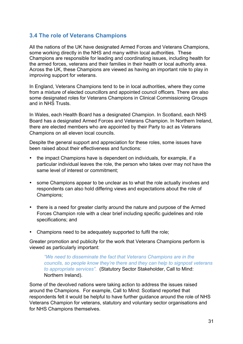### **3.4 The role of Veterans Champions**

All the nations of the UK have designated Armed Forces and Veterans Champions, some working directly in the NHS and many within local authorities. These Champions are responsible for leading and coordinating issues, including health for the armed forces, veterans and their families in their health or local authority area. Across the UK, these Champions are viewed as having an important role to play in improving support for veterans.

In England, Veterans Champions tend to be in local authorities, where they come from a mixture of elected councillors and appointed council officers. There are also some designated roles for Veterans Champions in Clinical Commissioning Groups and in NHS Trusts.

In Wales, each Health Board has a designated Champion. In Scotland, each NHS Board has a designated Armed Forces and Veterans Champion. In Northern Ireland, there are elected members who are appointed by their Party to act as Veterans Champions on all eleven local councils.

Despite the general support and appreciation for these roles, some issues have been raised about their effectiveness and functions:

- the impact Champions have is dependent on individuals, for example, if a particular individual leaves the role, the person who takes over may not have the same level of interest or commitment;
- some Champions appear to be unclear as to what the role actually involves and respondents can also hold differing views and expectations about the role of Champions;
- there is a need for greater clarity around the nature and purpose of the Armed Forces Champion role with a clear brief including specific guidelines and role specifications; and
- Champions need to be adequately supported to fulfil the role;

Greater promotion and publicity for the work that Veterans Champions perform is viewed as particularly important:

*"We need to disseminate the fact that Veterans Champions are in the councils, so people know they're there and they can help to signpost veterans to appropriate services".* (Statutory Sector Stakeholder, Call to Mind: Northern Ireland).

Some of the devolved nations were taking action to address the issues raised around the Champions. For example, Call to Mind: Scotland reported that respondents felt it would be helpful to have further guidance around the role of NHS Veterans Champion for veterans, statutory and voluntary sector organisations and for NHS Champions themselves.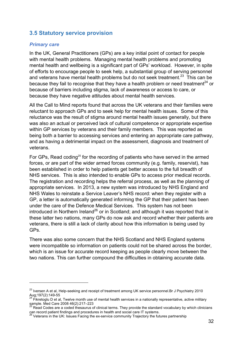### **3.5 Statutory service provision**

#### *Primary care*

 $\overline{a}$ 

In the UK, General Practitioners (GPs) are a key initial point of contact for people with mental health problems. Managing mental health problems and promoting mental health and wellbeing is a significant part of GPs' workload. However, in spite of efforts to encourage people to seek help, a substantial group of serving personnel and veterans have mental health problems but do not seek treatment.<sup>23</sup> This can be because they fail to recognise that they have a health problem or need treatment<sup>24</sup> or because of barriers including stigma, lack of awareness or access to care, or because they have negative attitudes about mental health services.

All the Call to Mind reports found that across the UK veterans and their families were reluctant to approach GPs and to seek help for mental health issues. Some of this reluctance was the result of stigma around mental health issues generally, but there was also an actual or perceived lack of cultural competence or appropriate expertise within GP services by veterans and their family members. This was reported as being both a barrier to accessing services and entering an appropriate care pathway, and as having a detrimental impact on the assessment, diagnosis and treatment of veterans.

For GPs. Read coding<sup>25</sup> for the recording of patients who have served in the armed forces, or are part of the wider armed forces community (e.g. family, reservist), has been established in order to help patients get better access to the full breadth of NHS services. This is also intended to enable GPs to access prior medical records. The registration and recording helps the referral process, as well as the planning of appropriate services. In 2013, a new system was introduced by NHS England and NHS Wales to reinstate a Service Leaver's NHS record: when they register with a GP, a letter is automatically generated informing the GP that their patient has been under the care of the Defence Medical Services. This system has not been introduced in Northern Ireland<sup>26</sup> or in Scotland; and although it was reported that in these latter two nations, many GPs do now ask and record whether their patients are veterans, there is still a lack of clarity about how this information is being used by GPs.

There was also some concern that the NHS Scotland and NHS England systems were incompatible so information on patients could not be shared across the border, which is an issue for accurate record keeping as people clearly move between the two nations. This can further compound the difficulties in obtaining accurate data.

<sup>&</sup>lt;sup>23</sup> Iversen A et al, Help-seeking and receipt of treatment among UK service personnel.Br J Psychiatry 2010<br>Aug;197(2):149-55<br><sup>24</sup> Eilestack: R -4

Fikretoglu D et al, Twelve month use of mental health services in a nationally representative, active military sample. Med Care 2008 46(2):217–223<br><sup>25</sup> Read Codes are a coded thesaurus of clinical terms. They provide the standard vocabulary by which clinicians

can record patient findings and procedures in health and social care IT systems.<br><sup>26</sup> Veterans in the UK: Issues Facing the ex-service community Trajectory the futures partnership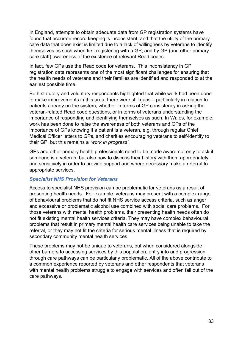In England, attempts to obtain adequate data from GP registration systems have found that accurate record keeping is inconsistent, and that the utility of the primary care data that does exist is limited due to a lack of willingness by veterans to identify themselves as such when first registering with a GP, and by GP (and other primary care staff) awareness of the existence of relevant Read codes.

In fact, few GPs use the Read code for veterans. This inconsistency in GP registration data represents one of the most significant challenges for ensuring that the health needs of veterans and their families are identified and responded to at the earliest possible time.

Both statutory and voluntary respondents highlighted that while work had been done to make improvements in this area, there were still gaps – particularly in relation to patients already on the system, whether in terms of GP consistency in asking the veteran-related Read code questions, or in terms of veterans understanding the importance of responding and identifying themselves as such. In Wales, for example, work has been done to raise the awareness of both veterans and GPs of the importance of GPs knowing if a patient is a veteran, e.g. through regular Chief Medical Officer letters to GPs, and charities encouraging veterans to self-identify to their GP, but this remains a *'work in progress'*.

GPs and other primary health professionals need to be made aware not only to ask if someone is a veteran, but also how to discuss their history with them appropriately and sensitively in order to provide support and where necessary make a referral to appropriate services.

#### *Specialist NHS Provision for Veterans*

Access to specialist NHS provision can be problematic for veterans as a result of presenting health needs. For example, veterans may present with a complex range of behavioural problems that do not fit NHS service access criteria, such as anger and excessive or problematic alcohol use combined with social care problems. For those veterans with mental health problems, their presenting health needs often do not fit existing mental health services criteria. They may have complex behavioural problems that result in primary mental health care services being unable to take the referral, or they may not fit the criteria for serious mental illness that is required by secondary community mental health services.

These problems may not be unique to veterans, but when considered alongside other barriers to accessing services by this population, entry into and progression through care pathways can be particularly problematic. All of the above contribute to a common experience reported by veterans and other respondents that veterans with mental health problems struggle to engage with services and often fall out of the care pathways.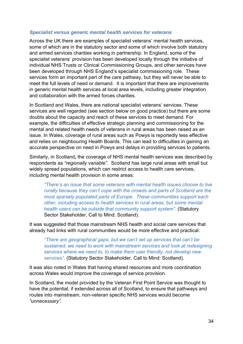#### *Specialist versus generic mental health services for veterans*

Across the UK there are examples of specialist veterans' mental health services, some of which are in the statutory sector and some of which involve both statutory and armed services charities working in partnership. In England, some of the specialist veterans' provision has been developed locally through the initiative of individual NHS Trusts or Clinical Commissioning Groups, and other services have been developed through NHS England's specialist commissioning role. These services form an important part of the care pathway, but they will never be able to meet the full levels of need or demand. It is important that there are improvements in generic mental health services at local area levels, including greater integration and collaboration with the armed forces charities.

In Scotland and Wales, there are national specialist veterans' services. These services are well regarded (see section below on good practice) but there are some doubts about the capacity and reach of these services to meet demand. For example, the difficulties of effective strategic planning and commissioning for the mental and related health needs of veterans in rural areas has been raised as an issue. In Wales, coverage of rural areas such as Powys is reportedly less effective and relies on neighbouring Health Boards. This can lead to difficulties in gaining an accurate perspective on need in Powys and delays in providing services to patients.

Similarly, in Scotland**,** the coverage of NHS mental health services was described by respondents as *"regionally variable".* Scotland has large rural areas with small but widely spread populations, which can restrict access to health care services, including mental health provision in some areas:

*"There's an issue that some veterans with mental health issues choose to live rurally because they can't cope with the crowds and parts of Scotland are the most sparsely populated parts of Europe. These communities support each other, including access to health services in rural areas, but some mental health users can be outside that community support system".* (Statutory Sector Stakeholder, Call to Mind: Scotland).

It was suggested that those mainstream NHS health and social care services that already had links with rural communities would be more effective and practical:

*"There are geographical gaps, but we can't set up services that can't be sustained, we need to work with mainstream services and look at redesigning services where we need to, to make them user friendly, not develop new services".* (Statutory Sector Stakeholder, Call to Mind: Scotland).

It was also noted in Wales that having shared resources and more coordination across Wales would improve the coverage of service provision.

In Scotland, the model provided by the Veteran First Point Service was thought to have the potential, if extended across all of Scotland, to ensure that pathways and routes into mainstream, non-veteran specific NHS services would become *"unnecessary".*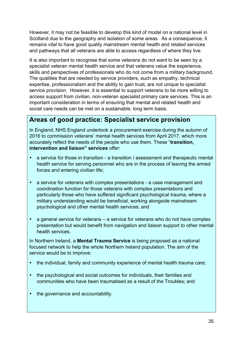However, it may not be feasible to develop this kind of model on a national level in Scotland due to the geography and isolation of some areas. As a consequence, it remains vital to have good quality mainstream mental health and related services and pathways that all veterans are able to access regardless of where they live.

It is also important to recognise that some veterans do not want to be seen by a specialist veteran mental health service and that veterans value the experience, skills and perspectives of professionals who do not come from a military background. The qualities that are needed by service providers, such as empathy, technical expertise, professionalism and the ability to gain trust, are not unique to specialist service provision. However, it is essential to support veterans to be more willing to access support from civilian, non-veteran specialist primary care services. This is an important consideration in terms of ensuring that mental and related health and social care needs can be met on a sustainable, long term basis.

# **Areas of good practice: Specialist service provision**

In England, NHS England undertook a procurement exercise during the autumn of 2016 to commission veterans' mental health services from April 2017, which more accurately reflect the needs of the people who use them. These "**transition, intervention and liaison" services** offer:

- a service for those in transition a transition / assessment and therapeutic mental health service for serving personnel who are in the process of leaving the armed forces and entering civilian life;
- a service for veterans with complex presentations a case management and coordination function for those veterans with complex presentations and particularly those who have suffered significant psychological trauma, where a military understanding would be beneficial, working alongside mainstream psychological and other mental health services; and
- a general service for veterans a service for veterans who do not have complex presentation but would benefit from navigation and liaison support to other mental health services.

In Northern Ireland, a **Mental Trauma Service** is being proposed as a national focused network to help the whole Northern Ireland population. The aim of the service would be to improve:

- the individual, family and community experience of mental health trauma care;
- the psychological and social outcomes for individuals, their families and communities who have been traumatised as a result of the Troubles; and
- the governance and accountability.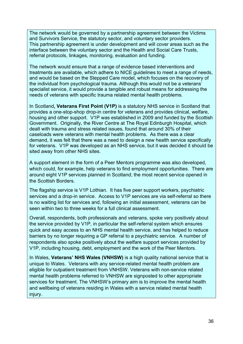The network would be governed by a partnership agreement between the Victims and Survivors Service, the statutory sector, and voluntary sector providers. This partnership agreement is under development and will cover areas such as the interface between the voluntary sector and the Health and Social Care Trusts, referral protocols, linkages, monitoring, evaluation and funding.

The network would ensure that a range of evidence based interventions and treatments are available, which adhere to NICE guidelines to meet a range of needs, and would be based on the Stepped Care model, which focuses on the recovery of the individual from psychological trauma. Although this would not be a veterans' specialist service, it would provide a tangible and robust means for addressing the needs of veterans with specific trauma related mental health problems.

In Scotland**, Veterans First Point (V1P)** is a statutory NHS service in Scotland that provides a one-stop-shop drop-in centre for veterans and provides clinical, welfare, housing and other support. V1P was established in 2009 and funded by the Scottish Government. Originally, the River Centre at The Royal Edinburgh Hospital, which dealt with trauma and stress related issues, found that around 30% of their caseloads were veterans with mental health problems. As there was a clear demand, it was felt that there was a need to design a new health service specifically for veterans. V1P was developed as an NHS service, but it was decided it should be sited away from other NHS sites.

A support element in the form of a Peer Mentors programme was also developed, which could, for example, help veterans to find employment opportunities. There are around eight V1P services planned in Scotland; the most recent service opened in the Scottish Borders.

The flagship service is V1P Lothian. It has five peer support workers, psychiatric services and a drop-in service. Access to V1P services are via self-referral so there is no waiting list for services and, following an initial assessment, veterans can be seen within two to three weeks for a full clinical assessment.

Overall, respondents, both professionals and veterans, spoke very positively about the service provided by V1P, in particular the self-referral system which ensures quick and easy access to an NHS mental health service, and has helped to reduce barriers by no longer requiring a GP referral to a psychiatric service. A number of respondents also spoke positively about the welfare support services provided by V1P, including housing, debt, employment and the work of the Peer Mentors.

In Wales, **Veterans' NHS Wales (VNHSW)** is a high quality national service that is unique to Wales. Veterans with any service-related mental health problem are eligible for outpatient treatment from VNHSW. Veterans with non-service related mental health problems referred to VNHSW are signposted to other appropriate services for treatment. The VNHSW's primary aim is to improve the mental health and wellbeing of veterans residing in Wales with a service related mental health injury.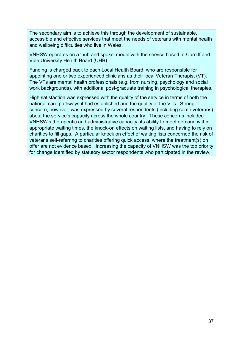The secondary aim is to achieve this through the development of sustainable, accessible and effective services that meet the needs of veterans with mental health and wellbeing difficulties who live in Wales.

VNHSW operates on a 'hub and spoke' model with the service based at Cardiff and Vale University Health Board (UHB).

Funding is charged back to each Local Health Board, who are responsible for appointing one or two experienced clinicians as their local Veteran Therapist (VT). The VTs are mental health professionals (e.g. from nursing, psychology and social work backgrounds), with additional post-graduate training in psychological therapies.

High satisfaction was expressed with the quality of the service in terms of both the national care pathways it had established and the quality of the VTs. Strong concern, however, was expressed by several respondents (including some veterans) about the service's capacity across the whole country. These concerns included VNHSW's therapeutic and administrative capacity, its ability to meet demand within appropriate waiting times, the knock-on effects on waiting lists, and having to rely on charities to fill gaps. A particular knock on effect of waiting lists concerned the risk of veterans self-referring to charities offering quick access, where the treatment(s) on offer are not evidence based. Increasing the capacity of VNHSW was the top priority for change identified by statutory sector respondents who participated in the review.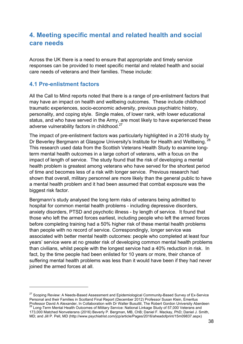# **4. Meeting specific mental and related health and social care needs**

Across the UK there is a need to ensure that appropriate and timely service responses can be provided to meet specific mental and related health and social care needs of veterans and their families. These include:

### **4.1 Pre-enlistment factors**

 $\overline{a}$ 

All the Call to Mind reports noted that there is a range of pre-enlistment factors that may have an impact on health and wellbeing outcomes. These include childhood traumatic experiences, socio-economic adversity, previous psychiatric history, personality, and coping style. Single males, of lower rank, with lower educational status, and who have served in the Army, are most likely to have experienced these adverse vulnerability factors in childhood.<sup>27</sup>

The impact of pre-enlistment factors was particularly highlighted in a 2016 study by Dr Beverley Bergmann at Glasgow University's Institute for Health and Wellbeing.<sup>28</sup> This research used data from the Scottish Veterans Health Study to examine longterm mental health outcomes in a large cohort of veterans, with a focus on the impact of length of service. The study found that the risk of developing a mental health problem is greatest among veterans who have served for the shortest period of time and becomes less of a risk with longer service. Previous research had shown that overall, military personnel are more likely than the general public to have a mental health problem and it had been assumed that combat exposure was the biggest risk factor.

Bergmann's study analysed the long term risks of veterans being admitted to hospital for common mental health problems - including depressive disorders, anxiety disorders, PTSD and psychotic illness - by length of service. It found that those who left the armed forces earliest, including people who left the armed forces before completing training had a 50% higher risk of these mental health problems than people with no record of service. Correspondingly, longer service was associated with better mental health outcomes: people who completed at least four years' service were at no greater risk of developing common mental health problems than civilians, whilst people with the longest service had a 40% reduction in risk. In fact, by the time people had been enlisted for 10 years or more, their chance of suffering mental health problems was less than it would have been if they had never joined the armed forces at all.

<sup>&</sup>lt;sup>27</sup> Scoping Review: A Needs-Based Assessment and Epidemiological Community-Based Survey of Ex-Service Personal and their Families in Scotland Final Report (December 2012) Professor Susan Klein, Emeritus Professor David A Alexander, In Collaboration with Dr Walter Busuttil, The Robert Gordon University Aberdeen<br><sup>28</sup> Long-Term Mental Health Outcomes of Military Service: National Linkage Study of 57,000 Veterans and 173,000 Matched Nonveterans (2016) Beverly P. Bergman, MB, ChB; Daniel F. Mackay, PhD; Daniel J. Smith, MD; and Jill P. Pell, MD (http://www.psychiatrist.com/jcp/article/Pages/2016/aheadofprint/15m09837.aspx)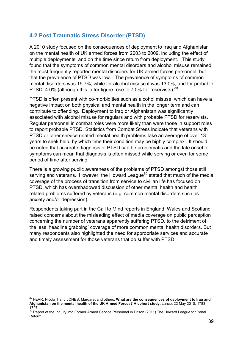### **4.2 Post Traumatic Stress Disorder (PTSD)**

A 2010 study focused on the consequences of deployment to Iraq and Afghanistan on the mental health of UK armed forces from 2003 to 2009, including the effect of multiple deployments, and on the time since return from deployment. This study found that the symptoms of common mental disorders and alcohol misuse remained the most frequently reported mental disorders for UK armed forces personnel, but that the prevalence of PTSD was low. The prevalence of symptoms of common mental disorders was 19.7%, while for alcohol misuse it was 13.0%, and for probable PTSD 4.0% (although this latter figure rose to 7.0% for reservists). $^{29}$ 

PTSD is often present with co-morbidities such as alcohol misuse, which can have a negative impact on both physical and mental health in the longer term and can contribute to offending. Deployment to Iraq or Afghanistan was significantly associated with alcohol misuse for regulars and with probable PTSD for reservists. Regular personnel in combat roles were more likely than were those in support roles to report probable PTSD. Statistics from Combat Stress indicate that veterans with PTSD or other service related mental health problems take an average of over 13 years to seek help, by which time their condition may be highly complex. It should be noted that accurate diagnosis of PTSD can be problematic and the late onset of symptoms can mean that diagnosis is often missed while serving or even for some period of time after serving.

There is a growing public awareness of the problems of PTSD amongst those still serving and veterans. However, the Howard League<sup>30</sup> stated that much of the media coverage of the process of transition from service to civilian life has focused on PTSD, which has overshadowed discussion of other mental health and health related problems suffered by veterans (e.g. common mental disorders such as anxiety and/or depression).

Respondents taking part in the Call to Mind reports in England, Wales and Scotland raised concerns about the misleading effect of media coverage on public perception concerning the number of veterans apparently suffering PTSD, to the detriment of the less 'headline grabbing' coverage of more common mental health disorders. But many respondents also highlighted the need for appropriate services and accurate and timely assessment for those veterans that do suffer with PTSD.

<sup>29</sup> FEAR, Nicola T and JONES, Margaret and others. **What are the consequences of deployment to Iraq and Afghanistan on the mental health of the UK Armed Forces? A cohort study.** Lancet 22 May 2010: 1783- 1797

<sup>&</sup>lt;sup>30</sup> Report of the Inquiry into Former Armed Service Personnel in Prison (2011) The Howard League for Penal Reform,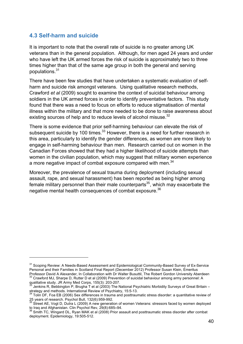#### **4.3 Self-harm and suicide**

 $\overline{a}$ 

It is important to note that the overall rate of suicide is no greater among UK veterans than in the general population. Although, for men aged 24 years and under who have left the UK armed forces the risk of suicide is approximately two to three times higher than that of the same age group in both the general and serving populations. 31

There have been few studies that have undertaken a systematic evaluation of selfharm and suicide risk amongst veterans. Using qualitative research methods, Crawford *et al* (2009) sought to examine the context of suicidal behaviour among soldiers in the UK armed forces in order to identify preventative factors. This study found that there was a need to focus on efforts to reduce stigmatisation of mental illness within the military and that more needed to be done to raise awareness about existing sources of help and to reduce levels of alcohol misuse.<sup>32</sup>

There is some evidence that prior self-harming behaviour can elevate the risk of subsequent suicide by 100 times.<sup>33</sup> However, there is a need for further research in this area, particularly to identify the gender differences, as women are more likely to engage in self-harming behaviour than men. Research carried out on women in the Canadian Forces showed that they had a higher likelihood of suicide attempts than women in the civilian population, which may suggest that military women experience a more negative impact of combat exposure compared with men. $^{34}$ 

Moreover, the prevalence of sexual trauma during deployment (including sexual assault, rape, and sexual harassment) has been reported as being higher among female military personnel than their male counterparts<sup>35</sup>, which may exacerbate the negative mental health consequences of combat exposure. $^{36}$ 

<sup>&</sup>lt;sup>31</sup> Scoping Review: A Needs-Based Assessment and Epidemiological Community-Based Survey of Ex-Service Personal and their Families in Scotland Final Report (December 2012) Professor Susan Klein, Emeritus

Professor David A Alexander, In Collaboration with Dr Walter Busuttil, The Robert Gordon University Aberdeen 32 Crawford MJ, Sharpe D, Rutter D et al (2009) Prevention of suicidal behaviour among army personnel: A qualitat

Jenkins R, Bebbington P, Brugha T et al (2003) The National Psychiatric Morbidity Surveys of Great Britain –

strategy and methods. International Review of Psychiatry, 15:5-13.<br><sup>34</sup> Tolin DF, Foa EB (2006) Sex differences in trauma and posttraumatic stress disorder: a quantitative review of<br>25 years of research. Psychol Bull, 132(

Street AE, Vogt D, Dutra L (2009) A new generation of women Veterans: stressors faced by women deployed to Iraq and Afghanistan. Clin Psychol Rev, 29(8):685–94.<br><sup>36</sup> Smith TC, Wingard DL, Ryan MAK et al (2008) Prior assault and posttraumatic stress disorder after combat<sup>36</sup>

deployment. Epidemiology, 19:505-512.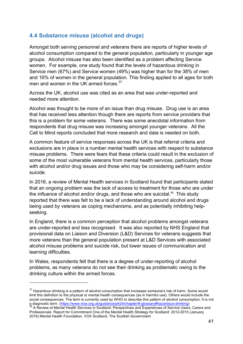### **4.4 Substance misuse (alcohol and drugs)**

Amongst both serving personnel and veterans there are reports of higher levels of alcohol consumption compared to the general population, particularly in younger age groups. Alcohol misuse has also been identified as a problem affecting Service women. For example, one study found that the levels of hazardous drinking in Service men (67%) and Service women (49%) was higher than for the 38% of men and 16% of women in the general population. This finding applied to all ages for both men and women in the UK armed forces.<sup>37</sup>

Across the UK, alcohol use was cited as an area that was under-reported and needed more attention.

Alcohol was thought to be more of an issue than drug misuse. Drug use is an area that has received less attention though there are reports from service providers that this is a problem for some veterans. There was some anecdotal information from respondents that drug misuse was increasing amongst younger veterans. All the Call to Mind reports concluded that more research and data is needed on both.

A common feature of service responses across the UK is that referral criteria and exclusions are in place in a number mental health services with respect to substance misuse problems. There were fears that these criteria could result in the exclusion of some of the most vulnerable veterans from mental health services, particularly those with alcohol and/or drug issues and those who may be considering self-harm and/or suicide.

In 2016, a review of Mental Health services in Scotland found that participants stated that an ongoing problem was the lack of access to treatment for those who are under the influence of alcohol and/or drugs, and those who are suicidal.<sup>38</sup> This study reported that there was felt to be a lack of understanding around alcohol and drugs being used by veterans as coping mechanisms, and as potentially inhibiting helpseeking.

In England, there is a common perception that alcohol problems amongst veterans are under-reported and less recognised. It was also reported by NHS England that provisional data on Liaison and Diversion (L&D) Services for veterans suggests that more veterans than the general population present at L&D Services with associated alcohol misuse problems and suicide risk, but lower issues of communication and learning difficulties.

In Wales, respondents felt that there is a degree of under-reporting of alcohol problems, as many veterans do not see their drinking as problematic owing to the drinking culture within the armed forces.

<sup>&</sup>lt;sup>37</sup> Hazardous drinking is a pattern of alcohol consumption that increases someone's risk of harm. Some would limit this definition to the physical or mental health consequences (as in harmful use). Others would include the social consequences. The term is currently used by WHO to describe this pattern of alcohol consumption. It is not a diagnostic term. (https://www.nice.org.uk/guidance/ph24/chapter/8-glossary#hazardous-drinking)<br>
<sup>38</sup> A Review of Mental Health Services in Scotland: Perspectives and Experiences of Service Users, Carers and

Professionals Report for Commitment One of the Mental Health Strategy for Scotland: 2012-2015 (January 2016) Mental Health Foundation, VOX Scotland, The Scottish Government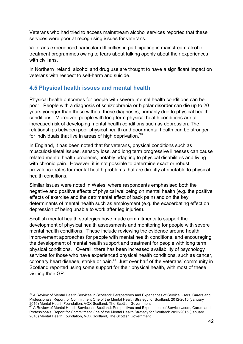Veterans who had tried to access mainstream alcohol services reported that these services were poor at recognising issues for veterans.

Veterans experienced particular difficulties in participating in mainstream alcohol treatment programmes owing to fears about talking openly about their experiences with civilians.

In Northern Ireland, alcohol and drug use are thought to have a significant impact on veterans with respect to self-harm and suicide.

### **4.5 Physical health issues and mental health**

Physical health outcomes for people with severe mental health conditions can be poor. People with a diagnosis of schizophrenia or bipolar disorder can die up to 20 years younger than those without these diagnoses, primarily due to physical health conditions. Moreover, people with long term physical health conditions are at increased risk of developing mental health conditions such as depression. The relationships between poor physical health and poor mental health can be stronger for individuals that live in areas of high deprivation. $^{\rm 39}$ 

In England, it has been noted that for veterans, physical conditions such as musculoskeletal issues, sensory loss, and long term progressive illnesses can cause related mental health problems, notably adapting to physical disabilities and living with chronic pain. However, it is not possible to determine exact or robust prevalence rates for mental health problems that are directly attributable to physical health conditions.

Similar issues were noted in Wales, where respondents emphasised both the negative and positive effects of physical wellbeing on mental health (e.g. the positive effects of exercise and the detrimental effect of back pain) and on the key determinants of mental health such as employment (e.g. the exacerbating effect on depression of being unable to work after leg injuries).

Scottish mental health strategies have made commitments to support the development of physical health assessments and monitoring for people with severe mental health conditions. These include reviewing the evidence around health improvement approaches for people with mental health conditions, and encouraging the development of mental health support and treatment for people with long term physical conditions. Overall, there has been increased availability of psychology services for those who have experienced physical health conditions, such as cancer, coronary heart disease, stroke or pain.<sup>40</sup> Just over half of the veterans' community in Scotland reported using some support for their physical health, with most of these visiting their GP.

<sup>&</sup>lt;sup>39</sup> A Review of Mental Health Services in Scotland: Perspectives and Experiences of Service Users, Carers and Professionals Report for Commitment One of the Mental Health Strategy for Scotland: 2012-2015 (January 2016) Mental Health Foundation, VOX Scotland, The Scottish Government<br>
<sup>40</sup> A Review of Mental Health Services in Scotland: Perspectives and Experiences of Service Users, Carers and<br>
<sup>40</sup> A Review of Mental Health Services

Professionals Report for Commitment One of the Mental Health Strategy for Scotland: 2012-2015 (January 2016) Mental Health Foundation, VOX Scotland, The Scottish Government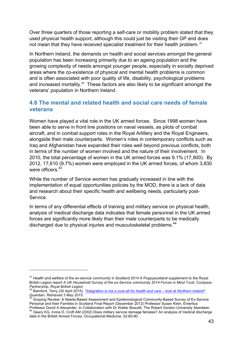Over three quarters of those reporting a self-care or mobility problem stated that they used physical health support, although this could just be visiting their GP and does not mean that they have received specialist treatment for their health problem.<sup>41</sup>

In Northern Ireland, the demands on health and social services amongst the general population has been increasing primarily due to an ageing population and the growing complexity of needs amongst younger people, especially in socially deprived areas where the co-existence of physical and mental health problems is common and is often associated with poor quality of life, disability, psychological problems and increased mortality.<sup>42</sup> These factors are also likely to be significant amongst the veterans' population in Northern Ireland.

### **4.6 The mental and related health and social care needs of female veterans**

Women have played a vital role in the UK armed forces. Since 1998 women have been able to serve in front line positions on naval vessels, as pilots of combat aircraft, and in combat support roles in the Royal Artillery and the Royal Engineers, alongside their male counterparts. Women's roles in contemporary conflicts such as Iraq and Afghanistan have expanded their roles well beyond previous conflicts, both in terms of the number of women involved and the nature of their involvement. In 2010, the total percentage of women in the UK armed forces was 9.1% (17,900). By 2012, 17,610 (9.7%) women were employed in the UK armed forces, of whom 3,830 were officers.<sup>43</sup>

While the number of Service women has gradually increased in line with the implementation of equal opportunities policies by the MOD, there is a lack of data and research about their specific health and wellbeing needs, particularly post-Service.

In terms of any differential effects of training and military service on physical health, analysis of medical discharge data indicates that female personnel in the UK armed forces are significantly more likely than their male counterparts to be medically discharged due to physical injuries and musculoskeletal problems.<sup>44</sup>

<sup>&</sup>lt;sup>41</sup> Health and welfare of the ex-service community in Scotland 2014 A Poppyscotland supplement to the Royal British Legion report *A UK Household Survey of the ex-Service community 2014 Forces in Mind Trust, Compass Partnership, Royal British Legion*

*<sup>42</sup>* Bamford, Terry (30 April 2015). *"Integration is not a cure-all for health and care – look at Northern Ireland"*. Guardian. Retrieved 3 May 2015.<br><sup>43</sup> Scoping Review: A Needs-Based Assessment and Epidemiological Community-Based Survey of Ex-Service

Personal and their Families in Scotland Final Report (December 2012) Professor Susan Klein, Emeritus Professor David A Alexander, In Collaboration with Dr Walter Busuttil, The Robert Gordon University Aberdeen

<sup>44</sup> Geary KG, Irvine D, Croft AM (2002) Does military service damage females? An analysis of medical discharge data in the British Armed Forces. Occupational Medicine, 52:85-90.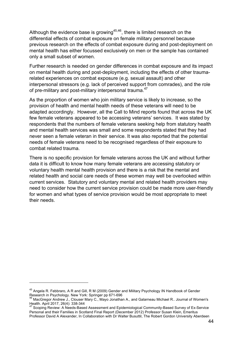Although the evidence base is growing<sup>45,46</sup>, there is limited research on the differential effects of combat exposure on female military personnel because previous research on the effects of combat exposure during and post-deployment on mental health has either focussed exclusively on men or the sample has contained only a small subset of women.

Further research is needed on gender differences in combat exposure and its impact on mental health during and post-deployment, including the effects of other traumarelated experiences on combat exposure (e.g. sexual assault) and other interpersonal stressors (e.g. lack of perceived support from comrades), and the role of pre-military and post-military interpersonal trauma.<sup>47</sup>

As the proportion of women who join military service is likely to increase, so the provision of health and mental health needs of these veterans will need to be adapted accordingly. However, all the Call to Mind reports found that across the UK few female veterans appeared to be accessing veterans' services. It was stated by respondents that the numbers of female veterans seeking help from statutory health and mental health services was small and some respondents stated that they had never seen a female veteran in their service. It was also reported that the potential needs of female veterans need to be recognised regardless of their exposure to combat related trauma.

There is no specific provision for female veterans across the UK and without further data it is difficult to know how many female veterans are accessing statutory or voluntary health mental health provision and there is a risk that the mental and related health and social care needs of these women may well be overlooked within current services. Statutory and voluntary mental and related health providers may need to consider how the current service provision could be made more user-friendly for women and what types of service provision would be most appropriate to meet their needs.

<sup>&</sup>lt;sup>45</sup> Angela R. Febbraro, A R and Gill, R M (2009) Gender and Military Psychology IN Handbook of Gender<br>Research in Psychology. New York: Springer pp 671-696

MacGregor Andrew J., Clouser Mary C., Mayo Jonathan A., and Galarneau Michael R., Journal of Women's Health. April 2017, 26(4): 338-344 <sup>47</sup> Scoping Review: A Needs-Based Assessment and Epidemiological Community-Based Survey of Ex-Service

Personal and their Families in Scotland Final Report (December 2012) Professor Susan Klein, Emeritus Professor David A Alexander, In Collaboration with Dr Walter Busuttil, The Robert Gordon University Aberdeen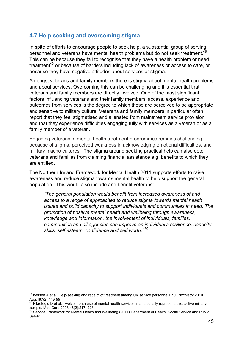### **4.7 Help seeking and overcoming stigma**

In spite of efforts to encourage people to seek help, a substantial group of serving personnel and veterans have mental health problems but do not seek treatment.<sup>48</sup> This can be because they fail to recognise that they have a health problem or need treatment<sup>49</sup> or because of barriers including lack of awareness or access to care, or because they have negative attitudes about services or stigma.

Amongst veterans and family members there is stigma about mental health problems and about services. Overcoming this can be challenging and it is essential that veterans and family members are directly involved. One of the most significant factors influencing veterans and their family members' access, experience and outcomes from services is the degree to which these are perceived to be appropriate and sensitive to military culture. Veterans and family members in particular often report that they feel stigmatised and alienated from mainstream service provision and that they experience difficulties engaging fully with services as a veteran or as a family member of a veteran.

Engaging veterans in mental health treatment programmes remains challenging because of stigma, perceived weakness in acknowledging emotional difficulties, and military macho cultures. The stigma around seeking practical help can also deter veterans and families from claiming financial assistance e.g. benefits to which they are entitled.

The Northern Ireland Framework for Mental Health 2011 supports efforts to raise awareness and reduce stigma towards mental health to help support the general population. This would also include and benefit veterans:

*"The general population would benefit from increased awareness of and access to a range of approaches to reduce stigma towards mental health issues and build capacity to support individuals and communities in need. The promotion of positive mental health and wellbeing through awareness, knowledge and information, the involvement of individuals, families, communities and all agencies can improve an individual's resilience, capacity, skills, self esteem, confidence and self worth."* <sup>50</sup>

<sup>&</sup>lt;sup>48</sup> Iversen A et al, Help-seeking and receipt of treatment among UK service personnel.Br J Psychiatry 2010 Aug;197(2):149-55<br><sup>49</sup> Fikretoglu D et al, Twelve month use of mental health services in a nationally representative, active military

sample. Med Care 2008 46(2):217–223<br>
Service Framework for Mental Health and Wellbeing (2011) Department of Health, Social Service and Public<br>
Service Framework for Mental Health and Wellbeing (2011) Department of Health,

Safety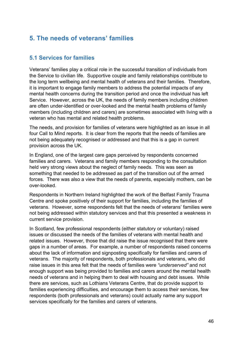# **5. The needs of veterans' families**

### **5.1 Services for families**

Veterans' families play a critical role in the successful transition of individuals from the Service to civilian life. Supportive couple and family relationships contribute to the long term wellbeing and mental health of veterans and their families. Therefore, it is important to engage family members to address the potential impacts of any mental health concerns during the transition period and once the individual has left Service. However, across the UK, the needs of family members including children are often under-identified or over-looked and the mental health problems of family members (including children and carers) are sometimes associated with living with a veteran who has mental and related health problems.

The needs, and provision for families of veterans were highlighted as an issue in all four Call to Mind reports. It is clear from the reports that the needs of families are not being adequately recognised or addressed and that this is a gap in current provision across the UK.

In England, one of the largest care gaps perceived by respondents concerned families and carers. Veterans and family members responding to the consultation held very strong views about the neglect of family needs. This was seen as something that needed to be addressed as part of the transition out of the armed forces. There was also a view that the needs of parents, especially mothers, can be over-looked.

Respondents in Northern Ireland highlighted the work of the Belfast Family Trauma Centre and spoke positively of their support for families, including the families of veterans. However, some respondents felt that the needs of veterans' families were not being addressed within statutory services and that this presented a weakness in current service provision.

In Scotland, few professional respondents (either statutory or voluntary) raised issues or discussed the needs of the families of veterans with mental health and related issues. However, those that did raise the issue recognised that there were gaps in a number of areas. For example, a number of respondents raised concerns about the lack of information and signposting specifically for families and carers of veterans. The majority of respondents, both professionals and veterans, who did raise issues in this area felt that the needs of families were *"underserved"* and not enough support was being provided to families and carers around the mental health needs of veterans and in helping them to deal with housing and debt issues. While there are services, such as Lothians Veterans Centre, that do provide support to families experiencing difficulties, and encourage them to access their services, few respondents (both professionals and veterans) could actually name any support services specifically for the families and carers of veterans.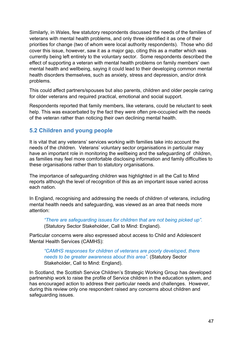Similarly, in Wales, few statutory respondents discussed the needs of the families of veterans with mental health problems, and only three identified it as one of their priorities for change (two of whom were local authority respondents). Those who did cover this issue, however, saw it as a major gap, citing this as a matter which was currently being left entirely to the voluntary sector. Some respondents described the effect of supporting a veteran with mental health problems on family members' own mental health and wellbeing, saying it could lead to their developing common mental health disorders themselves, such as anxiety, stress and depression, and/or drink problems.

This could affect partners/spouses but also parents, children and older people caring for older veterans and required practical, emotional and social support.

Respondents reported that family members, like veterans, could be reluctant to seek help. This was exacerbated by the fact they were often pre-occupied with the needs of the veteran rather than noticing their own declining mental health.

#### **5.2 Children and young people**

It is vital that any veterans' services working with families take into account the needs of the children. Veterans' voluntary sector organisations in particular may have an important role in monitoring the wellbeing and the safeguarding of children, as families may feel more comfortable disclosing information and family difficulties to these organisations rather than to statutory organisations.

The importance of safeguarding children was highlighted in all the Call to Mind reports although the level of recognition of this as an important issue varied across each nation.

In England, recognising and addressing the needs of children of veterans, including mental health needs and safeguarding, was viewed as an area that needs more attention:

*"There are safeguarding issues for children that are not being picked up".* (Statutory Sector Stakeholder, Call to Mind: England).

Particular concerns were also expressed about access to Child and Adolescent Mental Health Services (CAMHS):

*"CAMHS responses for children of veterans are poorly developed, there needs to be greater awareness about this area".* (Statutory Sector Stakeholder, Call to Mind: England).

In Scotland, the Scottish Service Children's Strategic Working Group has developed partnership work to raise the profile of Service children in the education system, and has encouraged action to address their particular needs and challenges. However, during this review only one respondent raised any concerns about children and safeguarding issues.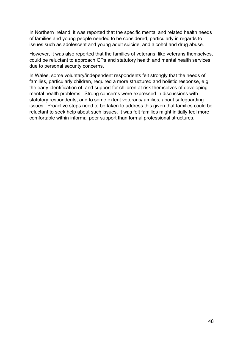In Northern Ireland, it was reported that the specific mental and related health needs of families and young people needed to be considered, particularly in regards to issues such as adolescent and young adult suicide, and alcohol and drug abuse.

However, it was also reported that the families of veterans, like veterans themselves, could be reluctant to approach GPs and statutory health and mental health services due to personal security concerns.

In Wales, some voluntary/independent respondents felt strongly that the needs of families, particularly children, required a more structured and holistic response, e.g. the early identification of, and support for children at risk themselves of developing mental health problems. Strong concerns were expressed in discussions with statutory respondents, and to some extent veterans/families, about safeguarding issues. Proactive steps need to be taken to address this given that families could be reluctant to seek help about such issues. It was felt families might initially feel more comfortable within informal peer support than formal professional structures.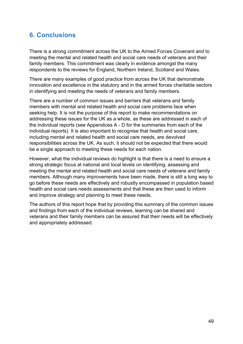# **6. Conclusions**

There is a strong commitment across the UK to the Armed Forces Covenant and to meeting the mental and related health and social care needs of veterans and their family members. This commitment was clearly in evidence amongst the many respondents to the reviews for England, Northern Ireland, Scotland and Wales.

There are many examples of good practice from across the UK that demonstrate innovation and excellence in the statutory and in the armed forces charitable sectors in identifying and meeting the needs of veterans and family members.

There are a number of common issues and barriers that veterans and family members with mental and related health and social care problems face when seeking help. It is not the purpose of this report to make recommendations on addressing these issues for the UK as a whole, as these are addressed in each of the individual reports (see Appendices A - D for the summaries from each of the individual reports). It is also important to recognise that health and social care, including mental and related health and social care needs, are devolved responsibilities across the UK. As such, it should not be expected that there would be a single approach to meeting these needs for each nation.

However, what the individual reviews do highlight is that there is a need to ensure a strong strategic focus at national and local levels on identifying, assessing and meeting the mental and related health and social care needs of veterans and family members. Although many improvements have been made, there is still a long way to go before these needs are effectively and robustly encompassed in population based health and social care needs assessments and that these are then used to inform and improve strategy and planning to meet these needs.

The authors of this report hope that by providing this summary of the common issues and findings from each of the individual reviews, learning can be shared and veterans and their family members can be assured that their needs will be effectively and appropriately addressed.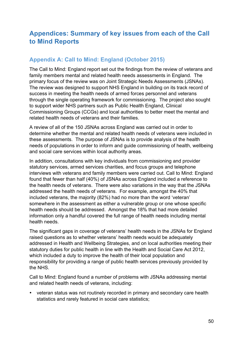# **Appendices: Summary of key issues from each of the Call to Mind Reports**

### **Appendix A: Call to Mind: England (October 2015)**

The Call to Mind: England report set out the findings from the review of veterans and family members mental and related health needs assessments in England. The primary focus of the review was on Joint Strategic Needs Assessments (JSNAs). The review was designed to support NHS England in building on its track record of success in meeting the health needs of armed forces personnel and veterans through the single operating framework for commissioning. The project also sought to support wider NHS partners such as Public Health England, Clinical Commissioning Groups (CCGs) and local authorities to better meet the mental and related health needs of veterans and their families.

A review of all of the 150 JSNAs across England was carried out in order to determine whether the mental and related health needs of veterans were included in these assessments. The purpose of JSNAs is to provide analysis of the health needs of populations in order to inform and guide commissioning of health, wellbeing and social care services within local authority areas.

In addition, consultations with key individuals from commissioning and provider statutory services, armed services charities, and focus groups and telephone interviews with veterans and family members were carried out. Call to Mind: England found that fewer than half (40%) of JSNAs across England included a reference to the health needs of veterans. There were also variations in the way that the JSNAs addressed the health needs of veterans. For example, amongst the 40% that included veterans, the majority (82%) had no more than the word 'veteran' somewhere in the assessment as either a vulnerable group or one whose specific health needs should be addressed. Amongst the 18% that had more detailed information only a handful covered the full range of health needs including mental health needs.

The significant gaps in coverage of veterans' health needs in the JSNAs for England raised questions as to whether veterans' health needs would be adequately addressed in Health and Wellbeing Strategies, and on local authorities meeting their statutory duties for public health in line with the Health and Social Care Act 2012, which included a duty to improve the health of their local population and responsibility for providing a range of public health services previously provided by the NHS.

Call to Mind: England found a number of problems with JSNAs addressing mental and related health needs of veterans, including:

• veteran status was not routinely recorded in primary and secondary care health statistics and rarely featured in social care statistics;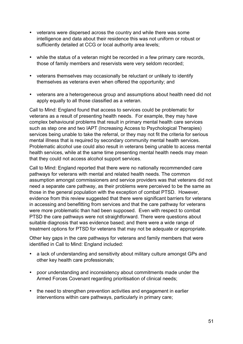- veterans were dispersed across the country and while there was some intelligence and data about their residence this was not uniform or robust or sufficiently detailed at CCG or local authority area levels;
- while the status of a veteran might be recorded in a few primary care records, those of family members and reservists were very seldom recorded;
- veterans themselves may occasionally be reluctant or unlikely to identify themselves as veterans even when offered the opportunity; and
- veterans are a heterogeneous group and assumptions about health need did not apply equally to all those classified as a veteran.

Call to Mind: England found that access to services could be problematic for veterans as a result of presenting health needs. For example, they may have complex behavioural problems that result in primary mental health care services such as step one and two IAPT (Increasing Access to Psychological Therapies) services being unable to take the referral, or they may not fit the criteria for serious mental illness that is required by secondary community mental health services. Problematic alcohol use could also result in veterans being unable to access mental health services, while at the same time presenting mental health needs may mean that they could not access alcohol support services.

Call to Mind: England reported that there were no nationally recommended care pathways for veterans with mental and related health needs. The common assumption amongst commissioners and service providers was that veterans did not need a separate care pathway, as their problems were perceived to be the same as those in the general population with the exception of combat PTSD. However, evidence from this review suggested that there were significant barriers for veterans in accessing and benefitting from services and that the care pathway for veterans were more problematic than had been supposed. Even with respect to combat PTSD the care pathways were not straightforward. There were questions about suitable diagnosis that was evidence based; and there were a wide range of treatment options for PTSD for veterans that may not be adequate or appropriate.

Other key gaps in the care pathways for veterans and family members that were identified in Call to Mind: England included:

- a lack of understanding and sensitivity about military culture amongst GPs and other key health care professionals;
- poor understanding and inconsistency about commitments made under the Armed Forces Covenant regarding prioritisation of clinical needs;
- the need to strengthen prevention activities and engagement in earlier interventions within care pathways, particularly in primary care;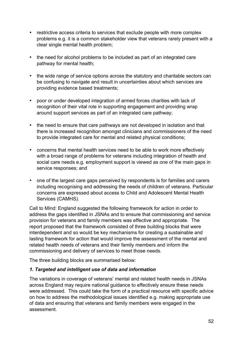- restrictive access criteria to services that exclude people with more complex problems e.g. it is a common stakeholder view that veterans rarely present with a clear single mental health problem;
- the need for alcohol problems to be included as part of an integrated care pathway for mental health;
- the wide range of service options across the statutory and charitable sectors can be confusing to navigate and result in uncertainties about which services are providing evidence based treatments;
- poor or under developed integration of armed forces charities with lack of recognition of their vital role in supporting engagement and providing wrap around support services as part of an integrated care pathway;
- the need to ensure that care pathways are not developed in isolation and that there is increased recognition amongst clinicians and commissioners of the need to provide integrated care for mental and related physical conditions;
- concerns that mental health services need to be able to work more effectively with a broad range of problems for veterans including integration of health and social care needs e.g. employment support is viewed as one of the main gaps in service responses; and
- one of the largest care gaps perceived by respondents is for families and carers including recognising and addressing the needs of children of veterans. Particular concerns are expressed about access to Child and Adolescent Mental Health Services (CAMHS).

Call to Mind: England suggested the following framework for action in order to address the gaps identified in JSNAs and to ensure that commissioning and service provision for veterans and family members was effective and appropriate. The report proposed that the framework consisted of three building blocks that were interdependent and so would be key mechanisms for creating a sustainable and lasting framework for action that would improve the assessment of the mental and related health needs of veterans and their family members and inform the commissioning and delivery of services to meet those needs.

The three building blocks are summarised below:

#### *1. Targeted and intelligent use of data and information*

The variations in coverage of veterans' mental and related health needs in JSNAs across England may require national guidance to effectively ensure these needs were addressed. This could take the form of a practical resource with specific advice on how to address the methodological issues identified e.g. making appropriate use of data and ensuring that veterans and family members were engaged in the assessment.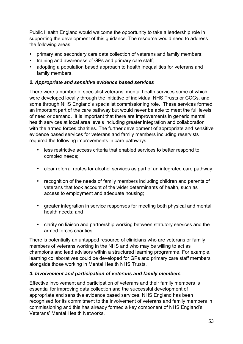Public Health England would welcome the opportunity to take a leadership role in supporting the development of this guidance. The resource would need to address the following areas:

- primary and secondary care data collection of veterans and family members;
- training and awareness of GPs and primary care staff;
- adopting a population based approach to health inequalities for veterans and family members.

#### *2. Appropriate and sensitive evidence based services*

There were a number of specialist veterans' mental health services some of which were developed locally through the initiative of individual NHS Trusts or CCGs, and some through NHS England's specialist commissioning role. These services formed an important part of the care pathway but would never be able to meet the full levels of need or demand. It is important that there are improvements in generic mental health services at local area levels including greater integration and collaboration with the armed forces charities. The further development of appropriate and sensitive evidence based services for veterans and family members including reservists required the following improvements in care pathways:

- less restrictive access criteria that enabled services to better respond to complex needs;
- clear referral routes for alcohol services as part of an integrated care pathway;
- recognition of the needs of family members including children and parents of veterans that took account of the wider determinants of health, such as access to employment and adequate housing;
- greater integration in service responses for meeting both physical and mental health needs; and
- clarity on liaison and partnership working between statutory services and the armed forces charities.

There is potentially an untapped resource of clinicians who are veterans or family members of veterans working in the NHS and who may be willing to act as champions and lead advisors within a structured learning programme. For example, learning collaboratives could be developed for GPs and primary care staff members alongside those working in Mental Health NHS Trusts.

#### *3. Involvement and participation of veterans and family members*

Effective involvement and participation of veterans and their family members is essential for improving data collection and the successful development of appropriate and sensitive evidence based services. NHS England has been recognised for its commitment to the involvement of veterans and family members in commissioning and this has already formed a key component of NHS England's Veterans' Mental Health Networks.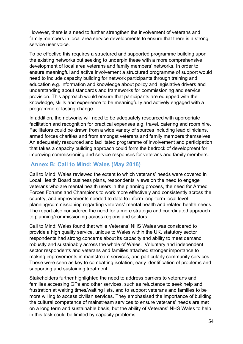However, there is a need to further strengthen the involvement of veterans and family members in local area service developments to ensure that there is a strong service user voice.

To be effective this requires a structured and supported programme building upon the existing networks but seeking to underpin these with a more comprehensive development of local area veterans and family members' networks. In order to ensure meaningful and active involvement a structured programme of support would need to include capacity building for network participants through training and education e.g. information and knowledge about policy and legislative drivers and understanding about standards and frameworks for commissioning and service provision. This approach would ensure that participants are equipped with the knowledge, skills and experience to be meaningfully and actively engaged with a programme of lasting change.

In addition, the networks will need to be adequately resourced with appropriate facilitation and recognition for practical expenses e.g. travel, catering and room hire. Facilitators could be drawn from a wide variety of sources including lead clinicians, armed forces charities and from amongst veterans and family members themselves. An adequately resourced and facilitated programme of involvement and participation that takes a capacity building approach could form the bedrock of development for improving commissioning and service responses for veterans and family members.

### **Annex B: Call to Mind: Wales (May 2016)**

Call to Mind: Wales reviewed the extent to which veterans' needs were covered in Local Health Board business plans, respondents' views on the need to engage veterans who are mental health users in the planning process, the need for Armed Forces Forums and Champions to work more effectively and consistently across the country, and improvements needed to data to inform long-term local level planning/commissioning regarding veterans' mental health and related health needs. The report also considered the need for a more strategic and coordinated approach to planning/commissioning across regions and sectors.

Call to Mind: Wales found that while Veterans' NHS Wales was considered to provide a high quality service, unique to Wales within the UK, statutory sector respondents had strong concerns about its capacity and ability to meet demand robustly and sustainably across the whole of Wales. Voluntary and independent sector respondents and veterans and families attached stronger importance to making improvements in mainstream services, and particularly community services. These were seen as key to combatting isolation, early identification of problems and supporting and sustaining treatment.

Stakeholders further highlighted the need to address barriers to veterans and families accessing GPs and other services, such as reluctance to seek help and frustration at waiting times/waiting lists, and to support veterans and families to be more willing to access civilian services. They emphasised the importance of building the cultural competence of mainstream services to ensure veterans' needs are met on a long term and sustainable basis, but the ability of Veterans' NHS Wales to help in this task could be limited by capacity problems.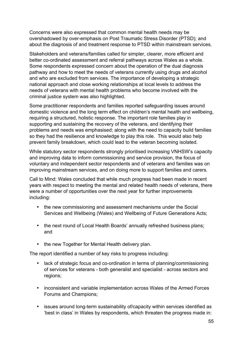Concerns were also expressed that common mental health needs may be overshadowed by over-emphasis on Post Traumatic Stress Disorder (PTSD); and about the diagnosis of and treatment response to PTSD within mainstream services.

Stakeholders and veterans/families called for simpler, clearer, more efficient and better co-ordinated assessment and referral pathways across Wales as a whole. Some respondents expressed concern about the operation of the dual diagnosis pathway and how to meet the needs of veterans currently using drugs and alcohol and who are excluded from services. The importance of developing a strategic national approach and close working relationships at local levels to address the needs of veterans with mental health problems who become involved with the criminal justice system was also highlighted.

Some practitioner respondents and families reported safeguarding issues around domestic violence and the long term effect on children's mental health and wellbeing, requiring a structured, holistic response. The important role families play in supporting and sustaining the recovery of the veterans, and identifying their problems and needs was emphasised; along with the need to capacity build families so they had the resilience and knowledge to play this role. This would also help prevent family breakdown, which could lead to the veteran becoming isolated.

While statutory sector respondents strongly prioritised increasing VNHSW's capacity and improving data to inform commissioning and service provision, the focus of voluntary and independent sector respondents and of veterans and families was on improving mainstream services, and on doing more to support families and carers.

Call to Mind: Wales concluded that while much progress had been made in recent years with respect to meeting the mental and related health needs of veterans, there were a number of opportunities over the next year for further improvements including:

- the new commissioning and assessment mechanisms under the Social Services and Wellbeing (Wales) and Wellbeing of Future Generations Acts;
- the next round of Local Health Boards' annually refreshed business plans: and
- the new Together for Mental Health delivery plan.

The report identified a number of key risks to progress including:

- lack of strategic focus and co-ordination in terms of planning/commissioning of services for veterans - both generalist and specialist - across sectors and regions;
- inconsistent and variable implementation across Wales of the Armed Forces Forums and Champions;
- issues around long-term sustainability of/capacity within services identified as 'best in class' in Wales by respondents, which threaten the progress made in: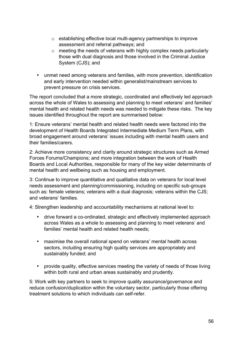- o establishing effective local multi-agency partnerships to improve assessment and referral pathways; and
- o meeting the needs of veterans with highly complex needs particularly those with dual diagnosis and those involved in the Criminal Justice System (CJS); and
- unmet need among veterans and families, with more prevention, identification and early intervention needed within generalist/mainstream services to prevent pressure on crisis services.

The report concluded that a more strategic, coordinated and effectively led approach across the whole of Wales to assessing and planning to meet veterans' and families' mental health and related health needs was needed to mitigate these risks. The key issues identified throughout the report are summarised below:

1: Ensure veterans' mental health and related health needs were factored into the development of Health Boards Integrated Intermediate Medium Term Plans, with broad engagement around veterans' issues including with mental health users and their families/carers.

2: Achieve more consistency and clarity around strategic structures such as Armed Forces Forums/Champions; and more integration between the work of Health Boards and Local Authorities, responsible for many of the key wider determinants of mental health and wellbeing such as housing and employment.

3: Continue to improve quantitative and qualitative data on veterans for local level needs assessment and planning/commissioning, including on specific sub-groups such as: female veterans; veterans with a dual diagnosis; veterans within the CJS; and veterans' families.

4: Strengthen leadership and accountability mechanisms at national level to:

- drive forward a co-ordinated, strategic and effectively implemented approach across Wales as a whole to assessing and planning to meet veterans' and families' mental health and related health needs;
- maximise the overall national spend on veterans' mental health across sectors, including ensuring high quality services are appropriately and sustainably funded; and
- provide quality, effective services meeting the variety of needs of those living within both rural and urban areas sustainably and prudently.

5: Work with key partners to seek to improve quality assurance/governance and reduce confusion/duplication within the voluntary sector, particularly those offering treatment solutions to which individuals can self-refer.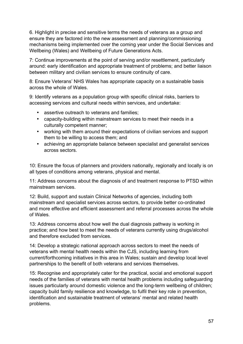6. Highlight in precise and sensitive terms the needs of veterans as a group and ensure they are factored into the new assessment and planning/commissioning mechanisms being implemented over the coming year under the Social Services and Wellbeing (Wales) and Wellbeing of Future Generations Acts.

7: Continue improvements at the point of serving and/or resettlement, particularly around: early identification and appropriate treatment of problems; and better liaison between military and civilian services to ensure continuity of care.

8: Ensure Veterans' NHS Wales has appropriate capacity on a sustainable basis across the whole of Wales.

9: Identify veterans as a population group with specific clinical risks, barriers to accessing services and cultural needs within services, and undertake:

- assertive outreach to veterans and families;
- capacity-building within mainstream services to meet their needs in a culturally competent manner;
- working with them around their expectations of civilian services and support them to be willing to access them; and
- achieving an appropriate balance between specialist and generalist services across sectors.

10: Ensure the focus of planners and providers nationally, regionally and locally is on all types of conditions among veterans, physical and mental.

11: Address concerns about the diagnosis of and treatment response to PTSD within mainstream services.

12: Build, support and sustain Clinical Networks of agencies, including both mainstream and specialist services across sectors, to provide better co-ordinated and more effective and efficient assessment and referral processes across the whole of Wales.

13: Address concerns about how well the dual diagnosis pathway is working in practice; and how best to meet the needs of veterans currently using drugs/alcohol and therefore excluded from services.

14: Develop a strategic national approach across sectors to meet the needs of veterans with mental health needs within the CJS, including learning from current/forthcoming initiatives in this area in Wales; sustain and develop local level partnerships to the benefit of both veterans and services themselves.

15: Recognise and appropriately cater for the practical, social and emotional support needs of the families of veterans with mental health problems including safeguarding issues particularly around domestic violence and the long-term wellbeing of children; capacity build family resilience and knowledge, to fulfil their key role in prevention, identification and sustainable treatment of veterans' mental and related health problems.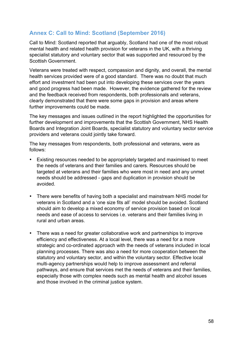### **Annex C: Call to Mind: Scotland (September 2016)**

Call to Mind: Scotland reported that arguably, Scotland had one of the most robust mental health and related health provision for veterans in the UK, with a thriving specialist statutory and voluntary sector that was supported and resourced by the Scottish Government.

Veterans were treated with respect, compassion and dignity, and overall, the mental health services provided were of a good standard. There was no doubt that much effort and investment had been put into developing these services over the years and good progress had been made. However, the evidence gathered for the review and the feedback received from respondents, both professionals and veterans, clearly demonstrated that there were some gaps in provision and areas where further improvements could be made.

The key messages and issues outlined in the report highlighted the opportunities for further development and improvements that the Scottish Government, NHS Health Boards and Integration Joint Boards, specialist statutory and voluntary sector service providers and veterans could jointly take forward.

The key messages from respondents, both professional and veterans, were as follows:

- Existing resources needed to be appropriately targeted and maximised to meet the needs of veterans and their families and carers. Resources should be targeted at veterans and their families who were most in need and any unmet needs should be addressed - gaps and duplication in provision should be avoided.
- There were benefits of having both a specialist and mainstream NHS model for veterans in Scotland and a 'one size fits all' model should be avoided. Scotland should aim to develop a mixed economy of service provision based on local needs and ease of access to services i.e. veterans and their families living in rural and urban areas.
- There was a need for greater collaborative work and partnerships to improve efficiency and effectiveness. At a local level, there was a need for a more strategic and co-ordinated approach with the needs of veterans included in local planning processes. There was also a need for more cooperation between the statutory and voluntary sector, and within the voluntary sector. Effective local multi-agency partnerships would help to improve assessment and referral pathways, and ensure that services met the needs of veterans and their families, especially those with complex needs such as mental health and alcohol issues and those involved in the criminal justice system.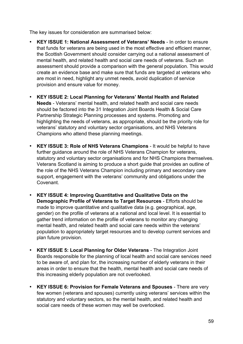The key issues for consideration are summarised below:

- **KEY ISSUE 1: National Assessment of Veterans' Needs** In order to ensure that funds for veterans are being used in the most effective and efficient manner, the Scottish Government should consider carrying out a national assessment of mental health, and related health and social care needs of veterans. Such an assessment should provide a comparison with the general population. This would create an evidence base and make sure that funds are targeted at veterans who are most in need, highlight any unmet needs, avoid duplication of service provision and ensure value for money.
- **KEY ISSUE 2: Local Planning for Veterans' Mental Health and Related Needs** - Veterans' mental health, and related health and social care needs should be factored into the 31 Integration Joint Boards Health & Social Care Partnership Strategic Planning processes and systems. Promoting and highlighting the needs of veterans, as appropriate, should be the priority role for veterans' statutory and voluntary sector organisations, and NHS Veterans Champions who attend these planning meetings.
- **KEY ISSUE 3: Role of NHS Veterans Champions** It would be helpful to have further guidance around the role of NHS Veterans Champion for veterans, statutory and voluntary sector organisations and for NHS Champions themselves. Veterans Scotland is aiming to produce a short guide that provides an outline of the role of the NHS Veterans Champion including primary and secondary care support, engagement with the veterans' community and obligations under the Covenant.
- **KEY ISSUE 4: Improving Quantitative and Qualitative Data on the Demographic Profile of Veterans to Target Resources** - Efforts should be made to improve quantitative and qualitative data (e.g. geographical, age, gender) on the profile of veterans at a national and local level. It is essential to gather trend information on the profile of veterans to monitor any changing mental health, and related health and social care needs within the veterans' population to appropriately target resources and to develop current services and plan future provision.
- **KEY ISSUE 5: Local Planning for Older Veterans** The Integration Joint Boards responsible for the planning of local health and social care services need to be aware of, and plan for, the increasing number of elderly veterans in their areas in order to ensure that the health, mental health and social care needs of this increasing elderly population are not overlooked.
- **KEY ISSUE 6: Provision for Female Veterans and Spouses** There are very few women (veterans and spouses) currently using veterans' services within the statutory and voluntary sectors, so the mental health, and related health and social care needs of these women may well be overlooked.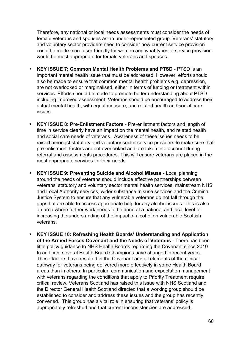Therefore, any national or local needs assessments must consider the needs of female veterans and spouses as an under-represented group. Veterans' statutory and voluntary sector providers need to consider how current service provision could be made more user-friendly for women and what types of service provision would be most appropriate for female veterans and spouses.

- **KEY ISSUE 7: Common Mental Health Problems and PTSD** PTSD is an important mental health issue that must be addressed. However, efforts should also be made to ensure that common mental health problems e.g. depression, are not overlooked or marginalised, either in terms of funding or treatment within services. Efforts should be made to promote better understanding about PTSD including improved assessment. Veterans should be encouraged to address their actual mental health, with equal measure, and related health and social care issues.
- **KEY ISSUE 8: Pre-Enlistment Factors** Pre-enlistment factors and length of time in service clearly have an impact on the mental health, and related health and social care needs of veterans. Awareness of these issues needs to be raised amongst statutory and voluntary sector service providers to make sure that pre-enlistment factors are not overlooked and are taken into account during referral and assessments procedures. This will ensure veterans are placed in the most appropriate services for their needs.
- **KEY ISSUE 9: Preventing Suicide and Alcohol Misuse** Local planning around the needs of veterans should include effective partnerships between veterans' statutory and voluntary sector mental health services, mainstream NHS and Local Authority services, wider substance misuse services and the Criminal Justice System to ensure that any vulnerable veterans do not fall through the gaps but are able to access appropriate help for any alcohol issues. This is also an area where further work needs to be done at a national and local level to increasing the understanding of the impact of alcohol on vulnerable Scottish veterans.
- **KEY ISSUE 10: Refreshing Health Boards' Understanding and Application of the Armed Forces Covenant and the Needs of Veterans** - There has been little policy guidance to NHS Health Boards regarding the Covenant since 2010. In addition, several Health Board Champions have changed in recent years. These factors have resulted in the Covenant and all elements of the clinical pathway for veterans being delivered more effectively in some Health Board areas than in others. In particular, communication and expectation management with veterans regarding the conditions that apply to Priority Treatment require critical review. Veterans Scotland has raised this issue with NHS Scotland and the Director General Health Scotland directed that a working group should be established to consider and address these issues and the group has recently convened. This group has a vital role in ensuring that veterans' policy is appropriately refreshed and that current inconsistencies are addressed.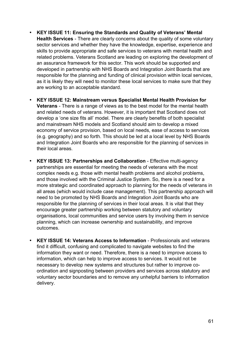- **KEY ISSUE 11: Ensuring the Standards and Quality of Veterans' Mental Health Services** - There are clearly concerns about the quality of some voluntary sector services and whether they have the knowledge, expertise, experience and skills to provide appropriate and safe services to veterans with mental health and related problems. Veterans Scotland are leading on exploring the development of an assurance framework for this sector. This work should be supported and developed in partnership with NHS Boards and Integration Joint Boards that are responsible for the planning and funding of clinical provision within local services, as it is likely they will need to monitor these local services to make sure that they are working to an acceptable standard.
- **KEY ISSUE 12: Mainstream versus Specialist Mental Health Provision for Veterans** - There is a range of views as to the best model for the mental health and related needs of veterans. However, it is important that Scotland does not develop a 'one size fits all' model. There are clearly benefits of both specialist and mainstream NHS models and Scotland should aim to develop a mixed economy of service provision, based on local needs, ease of access to services (e.g. geography) and so forth. This should be led at a local level by NHS Boards and Integration Joint Boards who are responsible for the planning of services in their local areas.
- **KEY ISSUE 13: Partnerships and Collaboration** Effective multi-agency partnerships are essential for meeting the needs of veterans with the most complex needs e.g. those with mental health problems and alcohol problems, and those involved with the Criminal Justice System. So, there is a need for a more strategic and coordinated approach to planning for the needs of veterans in all areas (which would include case management). This partnership approach will need to be promoted by NHS Boards and Integration Joint Boards who are responsible for the planning of services in their local areas. It is vital that they encourage greater partnership working between statutory and voluntary organisations, local communities and service users by involving them in service planning, which can increase ownership and sustainability, and improve outcomes.
- **KEY ISSUE 14: Veterans Access to Information** Professionals and veterans find it difficult, confusing and complicated to navigate websites to find the information they want or need. Therefore, there is a need to improve access to information, which can help to improve access to services. It would not be necessary to develop new systems and structures but rather to improve coordination and signposting between providers and services across statutory and voluntary sector boundaries and to remove any unhelpful barriers to information delivery.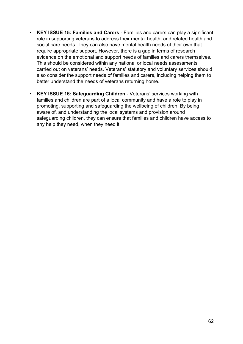- **KEY ISSUE 15: Families and Carers** Families and carers can play a significant role in supporting veterans to address their mental health, and related health and social care needs. They can also have mental health needs of their own that require appropriate support. However, there is a gap in terms of research evidence on the emotional and support needs of families and carers themselves. This should be considered within any national or local needs assessments carried out on veterans' needs. Veterans' statutory and voluntary services should also consider the support needs of families and carers, including helping them to better understand the needs of veterans returning home.
- **KEY ISSUE 16: Safeguarding Children** Veterans' services working with families and children are part of a local community and have a role to play in promoting, supporting and safeguarding the wellbeing of children. By being aware of, and understanding the local systems and provision around safeguarding children, they can ensure that families and children have access to any help they need, when they need it.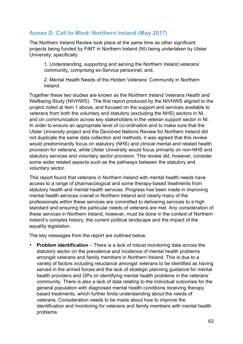### **Annex D: Call to Mind: Northern Ireland (May 2017)**

The Northern Ireland Review took place at the same time as other significant projects being funded by FiMT in Northern Ireland (NI) being undertaken by Ulster University, specifically:

1. Understanding, supporting and serving the Northern Ireland veterans' community, comprising ex-Service personnel; and,

2. Mental Health Needs of the Hidden Veterans' Community in Northern Ireland.

Together these two studies are known as the Northern Ireland Veterans Health and Wellbeing Study (NIVHWS). The first report produced by the NIVHWS aligned to the project noted at item 1 above, and focused on the support and services available to veterans from both the voluntary and statutory (excluding the NHS) sectors in NI, and on communication across key stakeholders in the veteran support sector in NI. In order to ensure an appropriate level of co-ordination and to make sure that the Ulster University project and the Devolved Nations Review for Northern Ireland did not duplicate the same data collection and methods, it was agreed that this review would predominantly focus on statutory (NHS) and clinical mental and related health provision for veterans, while Ulster University would focus primarily on non-NHS and statutory services and voluntary sector provision. This review did, however, consider some wider related aspects such as the pathways between the statutory and voluntary sector.

This report found that veterans in Northern Ireland with mental health needs have access to a range of pharmacological and some therapy-based treatments from statutory health and mental health services. Progress has been made in improving mental health services overall in Northern Ireland and clearly many of the professionals within these services are committed to delivering services to a high standard and ensuring the particular needs of veterans are met. Any consideration of these services in Northern Ireland, however, must be done in the context of Northern Ireland's complex history, the current political landscape and the impact of the equality legislation.

The key messages from the report are outlined below:

• **Problem identification** – There is a lack of robust monitoring data across the statutory sector on the prevalence and incidence of mental health problems amongst veterans and family members in Northern Ireland. This is due to a variety of factors including reluctance amongst veterans to be identified as having served in the armed forces and the lack of strategic planning guidance for mental health providers and GPs on identifying mental health problems in the veterans' community. There is also a lack of data relating to the individual outcomes for the general population with diagnosed mental health conditions receiving therapy based treatments, which further limits understanding about the needs of veterans. Consideration needs to be made about how to improve the identification and monitoring for veterans and family members with mental health problems.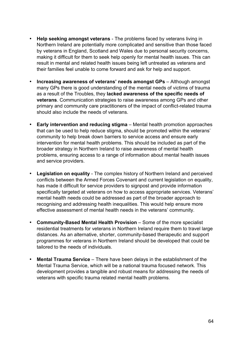- **Help seeking amongst veterans**  The problems faced by veterans living in Northern Ireland are potentially more complicated and sensitive than those faced by veterans in England, Scotland and Wales due to personal security concerns, making it difficult for them to seek help openly for mental health issues. This can result in mental and related health issues being left untreated as veterans and their families feel unable to come forward and ask for help and support.
- **Increasing awareness of veterans' needs amongst GPs**  Although amongst many GPs there is good understanding of the mental needs of victims of trauma as a result of the Troubles, they **lacked awareness of the specific needs of veterans**. Communication strategies to raise awareness among GPs and other primary and community care practitioners of the impact of conflict-related trauma should also include the needs of veterans.
- **Early intervention and reducing stigma**  Mental health promotion approaches that can be used to help reduce stigma, should be promoted within the veterans' community to help break down barriers to service access and ensure early intervention for mental health problems. This should be included as part of the broader strategy in Northern Ireland to raise awareness of mental health problems, ensuring access to a range of information about mental health issues and service providers.
- **Legislation on equality**  The complex history of Northern Ireland and perceived conflicts between the Armed Forces Covenant and current legislation on equality, has made it difficult for service providers to signpost and provide information specifically targeted at veterans on how to access appropriate services. Veterans' mental health needs could be addressed as part of the broader approach to recognising and addressing health inequalities. This would help ensure more effective assessment of mental health needs in the veterans' community.
- **Community-Based Mental Health Provision**  Some of the more specialist residential treatments for veterans in Northern Ireland require them to travel large distances. As an alternative, shorter, community-based therapeutic and support programmes for veterans in Northern Ireland should be developed that could be tailored to the needs of individuals.
- **Mental Trauma Service**  There have been delays in the establishment of the Mental Trauma Service, which will be a national trauma focused network. This development provides a tangible and robust means for addressing the needs of veterans with specific trauma related mental health problems.